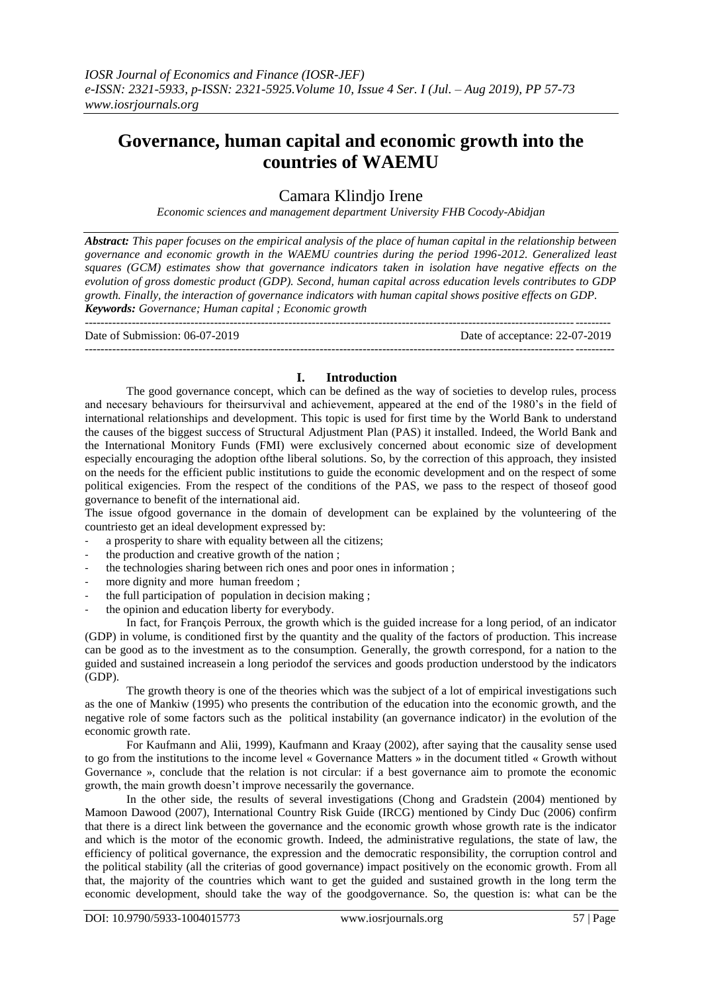# **Governance, human capital and economic growth into the countries of WAEMU**

## Camara Klindjo Irene

*Economic sciences and management department University FHB Cocody-Abidjan*

*Abstract: This paper focuses on the empirical analysis of the place of human capital in the relationship between governance and economic growth in the WAEMU countries during the period 1996-2012. Generalized least squares (GCM) estimates show that governance indicators taken in isolation have negative effects on the evolution of gross domestic product (GDP). Second, human capital across education levels contributes to GDP growth. Finally, the interaction of governance indicators with human capital shows positive effects on GDP. Keywords: Governance; Human capital ; Economic growth*

Date of Submission: 06-07-2019 Date of acceptance: 22-07-2019

## **I. Introduction**

---------------------------------------------------------------------------------------------------------------------------------------

--------------------------------------------------------------------------------------------------------------------------------------

The good governance concept, which can be defined as the way of societies to develop rules, process and necesary behaviours for theirsurvival and achievement, appeared at the end of the 1980"s in the field of international relationships and development. This topic is used for first time by the World Bank to understand the causes of the biggest success of Structural Adjustment Plan (PAS) it installed. Indeed, the World Bank and the International Monitory Funds (FMI) were exclusively concerned about economic size of development especially encouraging the adoption ofthe liberal solutions. So, by the correction of this approach, they insisted on the needs for the efficient public institutions to guide the economic development and on the respect of some political exigencies. From the respect of the conditions of the PAS, we pass to the respect of thoseof good governance to benefit of the international aid.

The issue ofgood governance in the domain of development can be explained by the volunteering of the countriesto get an ideal development expressed by:

- a prosperity to share with equality between all the citizens;
- the production and creative growth of the nation;
- the technologies sharing between rich ones and poor ones in information;
- more dignity and more human freedom;
- the full participation of population in decision making ;
- the opinion and education liberty for everybody.

In fact, for François Perroux, the growth which is the guided increase for a long period, of an indicator (GDP) in volume, is conditioned first by the quantity and the quality of the factors of production. This increase can be good as to the investment as to the consumption. Generally, the growth correspond, for a nation to the guided and sustained increasein a long periodof the services and goods production understood by the indicators (GDP).

The growth theory is one of the theories which was the subject of a lot of empirical investigations such as the one of Mankiw (1995) who presents the contribution of the education into the economic growth, and the negative role of some factors such as the political instability (an governance indicator) in the evolution of the economic growth rate.

For Kaufmann and Alii, 1999), Kaufmann and Kraay (2002), after saying that the causality sense used to go from the institutions to the income level « Governance Matters » in the document titled « Growth without Governance », conclude that the relation is not circular: if a best governance aim to promote the economic growth, the main growth doesn"t improve necessarily the governance.

In the other side, the results of several investigations (Chong and Gradstein (2004) mentioned by Mamoon Dawood (2007), International Country Risk Guide (IRCG) mentioned by Cindy Duc (2006) confirm that there is a direct link between the governance and the economic growth whose growth rate is the indicator and which is the motor of the economic growth. Indeed, the administrative regulations, the state of law, the efficiency of political governance, the expression and the democratic responsibility, the corruption control and the political stability (all the criterias of good governance) impact positively on the economic growth. From all that, the majority of the countries which want to get the guided and sustained growth in the long term the economic development, should take the way of the goodgovernance. So, the question is: what can be the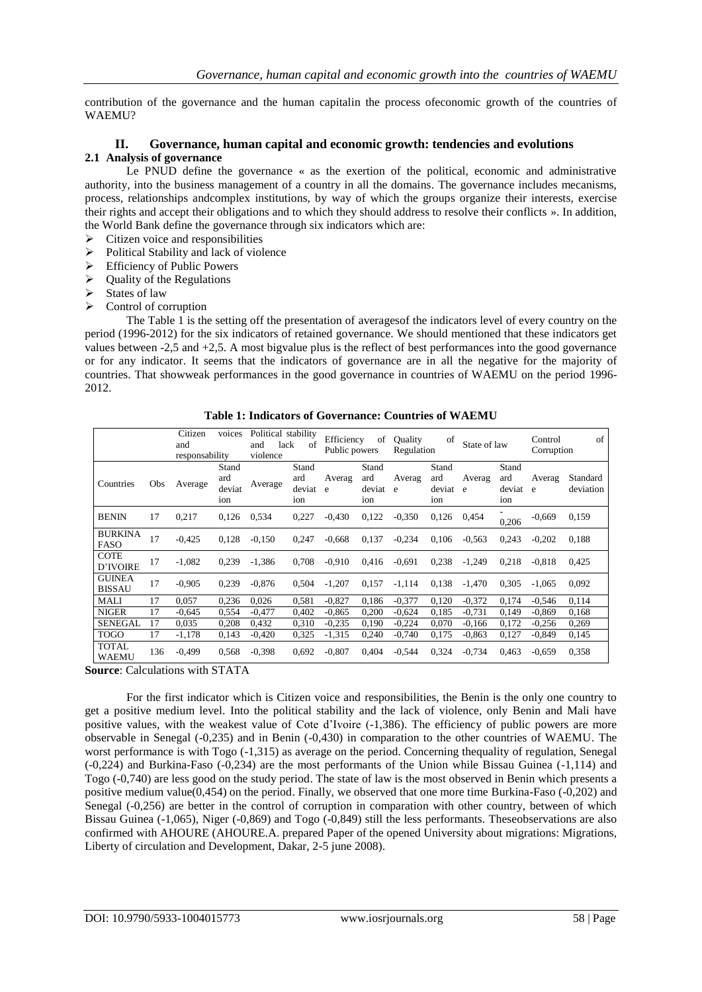contribution of the governance and the human capitalin the process ofeconomic growth of the countries of WAEMU?

## **II. Governance, human capital and economic growth: tendencies and evolutions 2.1 Analysis of governance**

Le PNUD define the governance « as the exertion of the political, economic and administrative authority, into the business management of a country in all the domains. The governance includes mecanisms, process, relationships andcomplex institutions, by way of which the groups organize their interests, exercise their rights and accept their obligations and to which they should address to resolve their conflicts ». In addition, the World Bank define the governance through six indicators which are:

- $\triangleright$  Citizen voice and responsibilities
- $\triangleright$  Political Stability and lack of violence
- $\triangleright$  Efficiency of Public Powers
- $\triangleright$  Ouality of the Regulations
- $\triangleright$  States of law
- $\triangleright$  Control of corruption

The Table 1 is the setting off the presentation of averagesof the indicators level of every country on the period (1996-2012) for the six indicators of retained governance. We should mentioned that these indicators get values between -2,5 and +2,5. A most bigvalue plus is the reflect of best performances into the good governance or for any indicator. It seems that the indicators of governance are in all the negative for the majority of countries. That showweak performances in the good governance in countries of WAEMU on the period 1996- 2012.

| Table 1: Indicators of Governance: Countries of WAEMU |  |  |
|-------------------------------------------------------|--|--|
|                                                       |  |  |

|                                |     | Citizen<br>and<br>responsability | voices                        | Political stability<br>lack<br>and<br>violence | of                            | Efficiency<br>Public powers | of                              | Quality<br>Regulation | of                              | State of law |                               | Control<br>Corruption | of                    |
|--------------------------------|-----|----------------------------------|-------------------------------|------------------------------------------------|-------------------------------|-----------------------------|---------------------------------|-----------------------|---------------------------------|--------------|-------------------------------|-----------------------|-----------------------|
| Countries                      | Obs | Average                          | Stand<br>ard<br>deviat<br>ion | Average                                        | Stand<br>ard<br>deviat<br>ion | Averag<br>e e               | Stand<br>ard<br>deviat e<br>ion | Averag                | Stand<br>ard<br>deviat e<br>ion | Averag       | Stand<br>ard<br>deviat<br>ion | Averag<br>e           | Standard<br>deviation |
| <b>BENIN</b>                   | 17  | 0,217                            | 0,126                         | 0,534                                          | 0,227                         | $-0.430$                    | 0,122                           | $-0.350$              | 0,126                           | 0,454        | 0.206                         | $-0,669$              | 0,159                 |
| <b>BURKINA</b><br><b>FASO</b>  | 17  | $-0,425$                         | 0.128                         | $-0,150$                                       | 0,247                         | $-0,668$                    | 0,137                           | $-0,234$              | 0.106                           | $-0,563$     | 0,243                         | $-0,202$              | 0,188                 |
| <b>COTE</b><br>D'IVOIRE        | 17  | $-1,082$                         | 0,239                         | $-1,386$                                       | 0,708                         | $-0.910$                    | 0,416                           | $-0.691$              | 0,238                           | $-1,249$     | 0,218                         | $-0.818$              | 0,425                 |
| <b>GUINEA</b><br><b>BISSAU</b> | 17  | $-0.905$                         | 0.239                         | $-0.876$                                       | 0.504                         | $-1.207$                    | 0.157                           | $-1,114$              | 0.138                           | $-1,470$     | 0.305                         | $-1.065$              | 0.092                 |
| MALI                           | 17  | 0.057                            | 0,236                         | 0,026                                          | 0,581                         | $-0.827$                    | 0.186                           | $-0.377$              | 0.120                           | $-0,372$     | 0.174                         | $-0,546$              | 0,114                 |
| <b>NIGER</b>                   | 17  | $-0.645$                         | 0.554                         | $-0.477$                                       | 0.402                         | $-0.865$                    | 0.200                           | $-0.624$              | 0.185                           | $-0.731$     | 0.149                         | $-0.869$              | 0.168                 |
| <b>SENEGAL</b>                 | 17  | 0.035                            | 0.208                         | 0.432                                          | 0.310                         | $-0,235$                    | 0.190                           | $-0.224$              | 0.070                           | $-0.166$     | 0.172                         | $-0,256$              | 0,269                 |
| <b>TOGO</b>                    | 17  | $-1,178$                         | 0.143                         | $-0,420$                                       | 0,325                         | $-1,315$                    | 0,240                           | $-0,740$              | 0,175                           | $-0,863$     | 0,127                         | $-0,849$              | 0,145                 |
| <b>TOTAL</b><br><b>WAEMU</b>   | 136 | $-0,499$                         | 0.568                         | $-0.398$                                       | 0.692                         | $-0.807$                    | 0.404                           | $-0,544$              | 0,324                           | $-0,734$     | 0,463                         | $-0,659$              | 0,358                 |

**Source**: Calculations with STATA

For the first indicator which is Citizen voice and responsibilities, the Benin is the only one country to get a positive medium level. Into the political stability and the lack of violence, only Benin and Mali have positive values, with the weakest value of Cote d"Ivoire (-1,386). The efficiency of public powers are more observable in Senegal (-0,235) and in Benin (-0,430) in comparation to the other countries of WAEMU. The worst performance is with Togo (-1,315) as average on the period. Concerning thequality of regulation, Senegal (-0,224) and Burkina-Faso (-0,234) are the most performants of the Union while Bissau Guinea (-1,114) and Togo (-0,740) are less good on the study period. The state of law is the most observed in Benin which presents a positive medium value(0,454) on the period. Finally, we observed that one more time Burkina-Faso (-0,202) and Senegal (-0,256) are better in the control of corruption in comparation with other country, between of which Bissau Guinea (-1,065), Niger (-0,869) and Togo (-0,849) still the less performants. Theseobservations are also confirmed with AHOURE (AHOURE.A. prepared Paper of the opened University about migrations: Migrations, Liberty of circulation and Development, Dakar, 2-5 june 2008).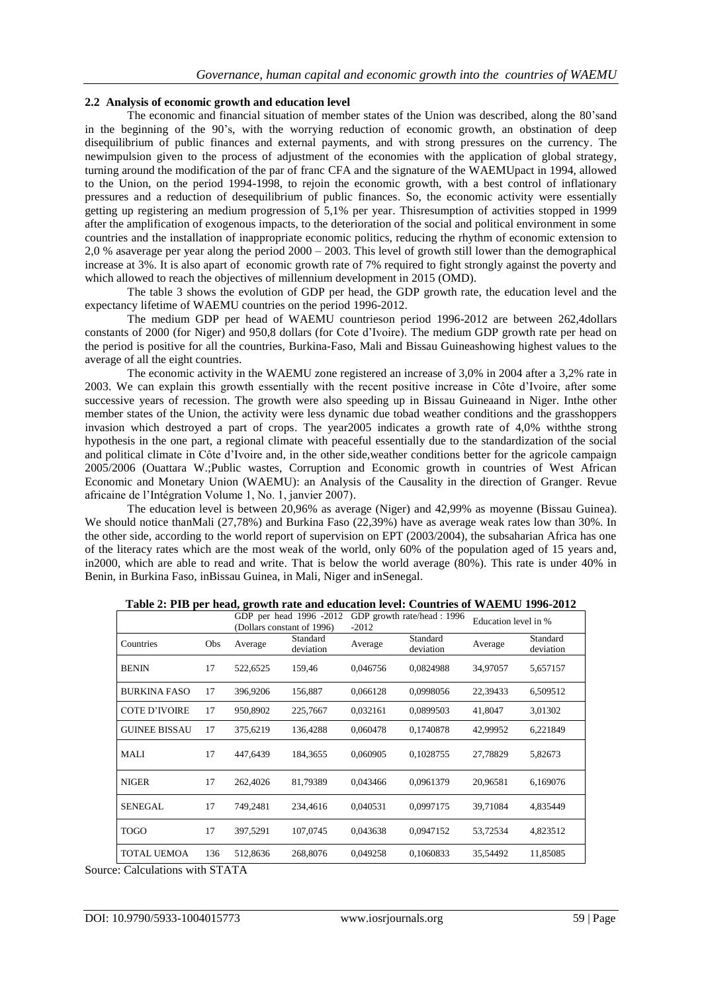## **2.2 Analysis of economic growth and education level**

The economic and financial situation of member states of the Union was described, along the 80"sand in the beginning of the 90's, with the worrying reduction of economic growth, an obstination of deep disequilibrium of public finances and external payments, and with strong pressures on the currency. The newimpulsion given to the process of adjustment of the economies with the application of global strategy, turning around the modification of the par of franc CFA and the signature of the WAEMUpact in 1994, allowed to the Union, on the period 1994-1998, to rejoin the economic growth, with a best control of inflationary pressures and a reduction of desequilibrium of public finances. So, the economic activity were essentially getting up registering an medium progression of 5,1% per year. Thisresumption of activities stopped in 1999 after the amplification of exogenous impacts, to the deterioration of the social and political environment in some countries and the installation of inappropriate economic politics, reducing the rhythm of economic extension to 2,0 % asaverage per year along the period 2000 – 2003. This level of growth still lower than the demographical increase at 3%. It is also apart of economic growth rate of 7% required to fight strongly against the poverty and which allowed to reach the objectives of millennium development in 2015 (OMD).

The table 3 shows the evolution of GDP per head, the GDP growth rate, the education level and the expectancy lifetime of WAEMU countries on the period 1996-2012.

The medium GDP per head of WAEMU countrieson period 1996-2012 are between 262,4dollars constants of 2000 (for Niger) and 950,8 dollars (for Cote d"Ivoire). The medium GDP growth rate per head on the period is positive for all the countries, Burkina-Faso, Mali and Bissau Guineashowing highest values to the average of all the eight countries.

The economic activity in the WAEMU zone registered an increase of 3,0% in 2004 after a 3,2% rate in 2003. We can explain this growth essentially with the recent positive increase in Côte d"Ivoire, after some successive years of recession. The growth were also speeding up in Bissau Guineaand in Niger. Inthe other member states of the Union, the activity were less dynamic due tobad weather conditions and the grasshoppers invasion which destroyed a part of crops. The year2005 indicates a growth rate of 4,0% withthe strong hypothesis in the one part, a regional climate with peaceful essentially due to the standardization of the social and political climate in Côte d"Ivoire and, in the other side,weather conditions better for the agricole campaign 2005/2006 (Ouattara W.;Public wastes, Corruption and Economic growth in countries of West African Economic and Monetary Union (WAEMU): an Analysis of the Causality in the direction of Granger. Revue africaine de l"Intégration Volume 1, No. 1, janvier 2007).

The education level is between 20,96% as average (Niger) and 42,99% as moyenne (Bissau Guinea). We should notice thanMali (27,78%) and Burkina Faso (22,39%) have as average weak rates low than 30%. In the other side, according to the world report of supervision on EPT (2003/2004), the subsaharian Africa has one of the literacy rates which are the most weak of the world, only 60% of the population aged of 15 years and, in2000, which are able to read and write. That is below the world average (80%). This rate is under 40% in Benin, in Burkina Faso, inBissau Guinea, in Mali, Niger and inSenegal.

|                      |            | GDP per head 1996 -2012<br>(Dollars constant of 1996) |                       | $-2012$  | GDP growth rate/head: 1996 | Education level in % |                       |  |
|----------------------|------------|-------------------------------------------------------|-----------------------|----------|----------------------------|----------------------|-----------------------|--|
| Countries            | <b>Obs</b> | Average                                               | Standard<br>deviation | Average  | Standard<br>deviation      | Average              | Standard<br>deviation |  |
| <b>BENIN</b>         | 17         | 522,6525                                              | 159,46                | 0.046756 | 0.0824988                  | 34,97057             | 5,657157              |  |
| <b>BURKINA FASO</b>  | 17         | 396,9206                                              | 156,887               | 0,066128 | 0,0998056                  | 22,39433             | 6,509512              |  |
| <b>COTE D'IVOIRE</b> | 17         | 950,8902                                              | 225,7667              | 0,032161 | 0,0899503                  | 41,8047              | 3,01302               |  |
| <b>GUINEE BISSAU</b> | 17         | 375,6219                                              | 136.4288              | 0.060478 | 0,1740878                  | 42,99952             | 6,221849              |  |
| MALI                 | 17         | 447,6439                                              | 184,3655              | 0.060905 | 0,1028755                  | 27,78829             | 5,82673               |  |
| <b>NIGER</b>         | 17         | 262,4026                                              | 81,79389              | 0,043466 | 0,0961379                  | 20,96581             | 6,169076              |  |
| SENEGAL              | 17         | 749,2481                                              | 234,4616              | 0,040531 | 0,0997175                  | 39,71084             | 4,835449              |  |
| <b>TOGO</b>          | 17         | 397,5291                                              | 107,0745              | 0,043638 | 0,0947152                  | 53,72534             | 4,823512              |  |
| <b>TOTAL UEMOA</b>   | 136        | 512,8636                                              | 268,8076              | 0,049258 | 0,1060833                  | 35,54492             | 11,85085              |  |

**Table 2: PIB per head, growth rate and education level: Countries of WAEMU 1996-2012**

Source: Calculations with STATA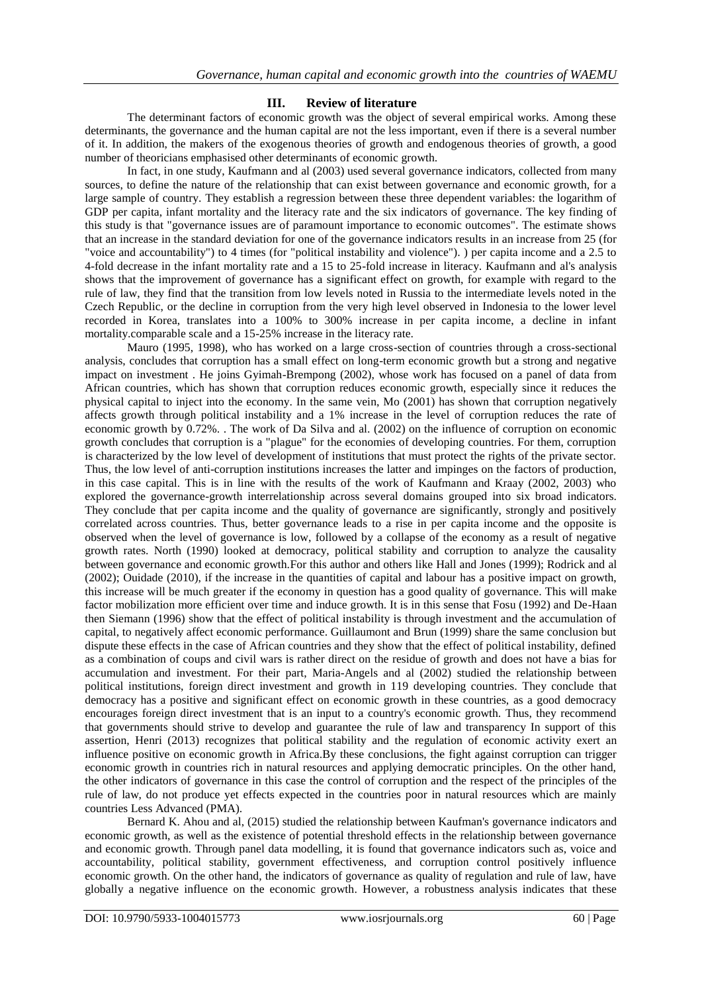## **III. Review of literature**

The determinant factors of economic growth was the object of several empirical works. Among these determinants, the governance and the human capital are not the less important, even if there is a several number of it. In addition, the makers of the exogenous theories of growth and endogenous theories of growth, a good number of theoricians emphasised other determinants of economic growth.

In fact, in one study, Kaufmann and al (2003) used several governance indicators, collected from many sources, to define the nature of the relationship that can exist between governance and economic growth, for a large sample of country. They establish a regression between these three dependent variables: the logarithm of GDP per capita, infant mortality and the literacy rate and the six indicators of governance. The key finding of this study is that "governance issues are of paramount importance to economic outcomes". The estimate shows that an increase in the standard deviation for one of the governance indicators results in an increase from 25 (for "voice and accountability") to 4 times (for "political instability and violence"). ) per capita income and a 2.5 to 4-fold decrease in the infant mortality rate and a 15 to 25-fold increase in literacy. Kaufmann and al's analysis shows that the improvement of governance has a significant effect on growth, for example with regard to the rule of law, they find that the transition from low levels noted in Russia to the intermediate levels noted in the Czech Republic, or the decline in corruption from the very high level observed in Indonesia to the lower level recorded in Korea, translates into a 100% to 300% increase in per capita income, a decline in infant mortality.comparable scale and a 15-25% increase in the literacy rate.

Mauro (1995, 1998), who has worked on a large cross-section of countries through a cross-sectional analysis, concludes that corruption has a small effect on long-term economic growth but a strong and negative impact on investment . He joins Gyimah-Brempong (2002), whose work has focused on a panel of data from African countries, which has shown that corruption reduces economic growth, especially since it reduces the physical capital to inject into the economy. In the same vein, Mo (2001) has shown that corruption negatively affects growth through political instability and a 1% increase in the level of corruption reduces the rate of economic growth by 0.72%. . The work of Da Silva and al. (2002) on the influence of corruption on economic growth concludes that corruption is a "plague" for the economies of developing countries. For them, corruption is characterized by the low level of development of institutions that must protect the rights of the private sector. Thus, the low level of anti-corruption institutions increases the latter and impinges on the factors of production, in this case capital. This is in line with the results of the work of Kaufmann and Kraay (2002, 2003) who explored the governance-growth interrelationship across several domains grouped into six broad indicators. They conclude that per capita income and the quality of governance are significantly, strongly and positively correlated across countries. Thus, better governance leads to a rise in per capita income and the opposite is observed when the level of governance is low, followed by a collapse of the economy as a result of negative growth rates. North (1990) looked at democracy, political stability and corruption to analyze the causality between governance and economic growth.For this author and others like Hall and Jones (1999); Rodrick and al (2002); Ouidade (2010), if the increase in the quantities of capital and labour has a positive impact on growth, this increase will be much greater if the economy in question has a good quality of governance. This will make factor mobilization more efficient over time and induce growth. It is in this sense that Fosu (1992) and De-Haan then Siemann (1996) show that the effect of political instability is through investment and the accumulation of capital, to negatively affect economic performance. Guillaumont and Brun (1999) share the same conclusion but dispute these effects in the case of African countries and they show that the effect of political instability, defined as a combination of coups and civil wars is rather direct on the residue of growth and does not have a bias for accumulation and investment. For their part, Maria-Angels and al (2002) studied the relationship between political institutions, foreign direct investment and growth in 119 developing countries. They conclude that democracy has a positive and significant effect on economic growth in these countries, as a good democracy encourages foreign direct investment that is an input to a country's economic growth. Thus, they recommend that governments should strive to develop and guarantee the rule of law and transparency In support of this assertion, Henri (2013) recognizes that political stability and the regulation of economic activity exert an influence positive on economic growth in Africa.By these conclusions, the fight against corruption can trigger economic growth in countries rich in natural resources and applying democratic principles. On the other hand, the other indicators of governance in this case the control of corruption and the respect of the principles of the rule of law, do not produce yet effects expected in the countries poor in natural resources which are mainly countries Less Advanced (PMA).

Bernard K. Ahou and al, (2015) studied the relationship between Kaufman's governance indicators and economic growth, as well as the existence of potential threshold effects in the relationship between governance and economic growth. Through panel data modelling, it is found that governance indicators such as, voice and accountability, political stability, government effectiveness, and corruption control positively influence economic growth. On the other hand, the indicators of governance as quality of regulation and rule of law, have globally a negative influence on the economic growth. However, a robustness analysis indicates that these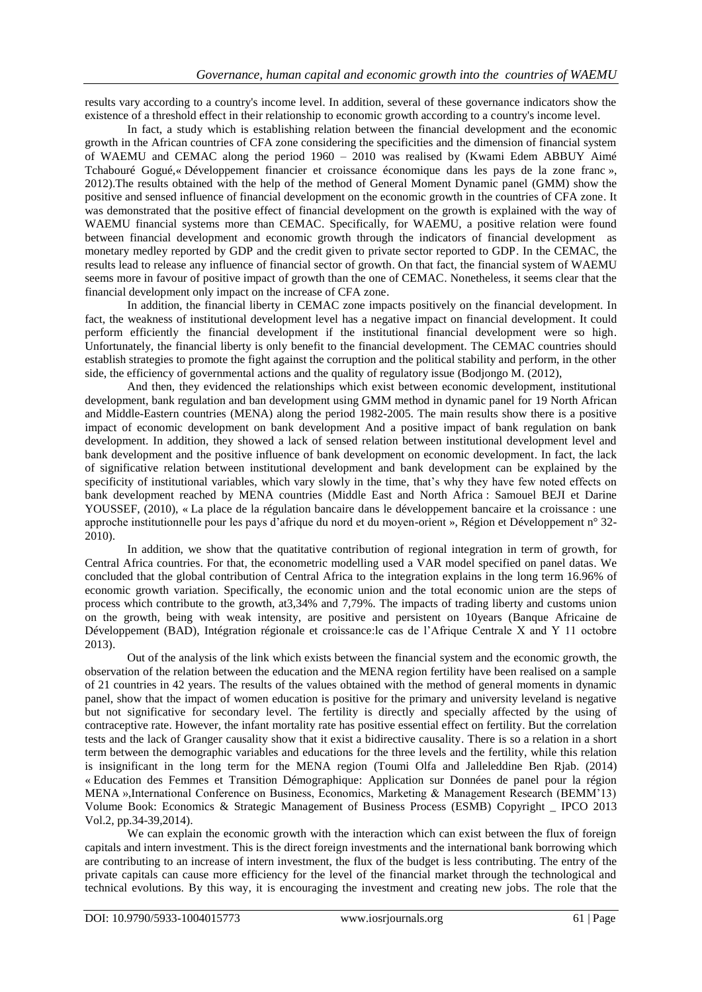results vary according to a country's income level. In addition, several of these governance indicators show the existence of a threshold effect in their relationship to economic growth according to a country's income level.

In fact, a study which is establishing relation between the financial development and the economic growth in the African countries of CFA zone considering the specificities and the dimension of financial system of WAEMU and CEMAC along the period 1960 – 2010 was realised by (Kwami Edem ABBUY Aimé Tchabouré Gogué,« Développement financier et croissance économique dans les pays de la zone franc », 2012).The results obtained with the help of the method of General Moment Dynamic panel (GMM) show the positive and sensed influence of financial development on the economic growth in the countries of CFA zone. It was demonstrated that the positive effect of financial development on the growth is explained with the way of WAEMU financial systems more than CEMAC. Specifically, for WAEMU, a positive relation were found between financial development and economic growth through the indicators of financial development as monetary medley reported by GDP and the credit given to private sector reported to GDP. In the CEMAC, the results lead to release any influence of financial sector of growth. On that fact, the financial system of WAEMU seems more in favour of positive impact of growth than the one of CEMAC. Nonetheless, it seems clear that the financial development only impact on the increase of CFA zone.

In addition, the financial liberty in CEMAC zone impacts positively on the financial development. In fact, the weakness of institutional development level has a negative impact on financial development. It could perform efficiently the financial development if the institutional financial development were so high. Unfortunately, the financial liberty is only benefit to the financial development. The CEMAC countries should establish strategies to promote the fight against the corruption and the political stability and perform, in the other side, the efficiency of governmental actions and the quality of regulatory issue (Bodjongo M. (2012),

And then, they evidenced the relationships which exist between economic development, institutional development, bank regulation and ban development using GMM method in dynamic panel for 19 North African and Middle-Eastern countries (MENA) along the period 1982-2005. The main results show there is a positive impact of economic development on bank development And a positive impact of bank regulation on bank development. In addition, they showed a lack of sensed relation between institutional development level and bank development and the positive influence of bank development on economic development. In fact, the lack of significative relation between institutional development and bank development can be explained by the specificity of institutional variables, which vary slowly in the time, that"s why they have few noted effects on bank development reached by MENA countries (Middle East and North Africa : Samouel BEJI et Darine YOUSSEF, (2010), « La place de la régulation bancaire dans le développement bancaire et la croissance : une approche institutionnelle pour les pays d"afrique du nord et du moyen-orient », Région et Développement n° 32- 2010).

In addition, we show that the quatitative contribution of regional integration in term of growth, for Central Africa countries. For that, the econometric modelling used a VAR model specified on panel datas. We concluded that the global contribution of Central Africa to the integration explains in the long term 16.96% of economic growth variation. Specifically, the economic union and the total economic union are the steps of process which contribute to the growth, at3,34% and 7,79%. The impacts of trading liberty and customs union on the growth, being with weak intensity, are positive and persistent on 10years (Banque Africaine de Développement (BAD), Intégration régionale et croissance:le cas de l"Afrique Centrale X and Y 11 octobre 2013).

Out of the analysis of the link which exists between the financial system and the economic growth, the observation of the relation between the education and the MENA region fertility have been realised on a sample of 21 countries in 42 years. The results of the values obtained with the method of general moments in dynamic panel, show that the impact of women education is positive for the primary and university leveland is negative but not significative for secondary level. The fertility is directly and specially affected by the using of contraceptive rate. However, the infant mortality rate has positive essential effect on fertility. But the correlation tests and the lack of Granger causality show that it exist a bidirective causality. There is so a relation in a short term between the demographic variables and educations for the three levels and the fertility, while this relation is insignificant in the long term for the MENA region (Toumi Olfa and Jalleleddine Ben Rjab. (2014) « Education des Femmes et Transition Démographique: Application sur Données de panel pour la région MENA »,International Conference on Business, Economics, Marketing & Management Research (BEMM"13) Volume Book: Economics & Strategic Management of Business Process (ESMB) Copyright \_ IPCO 2013 Vol.2, pp.34-39,2014).

We can explain the economic growth with the interaction which can exist between the flux of foreign capitals and intern investment. This is the direct foreign investments and the international bank borrowing which are contributing to an increase of intern investment, the flux of the budget is less contributing. The entry of the private capitals can cause more efficiency for the level of the financial market through the technological and technical evolutions. By this way, it is encouraging the investment and creating new jobs. The role that the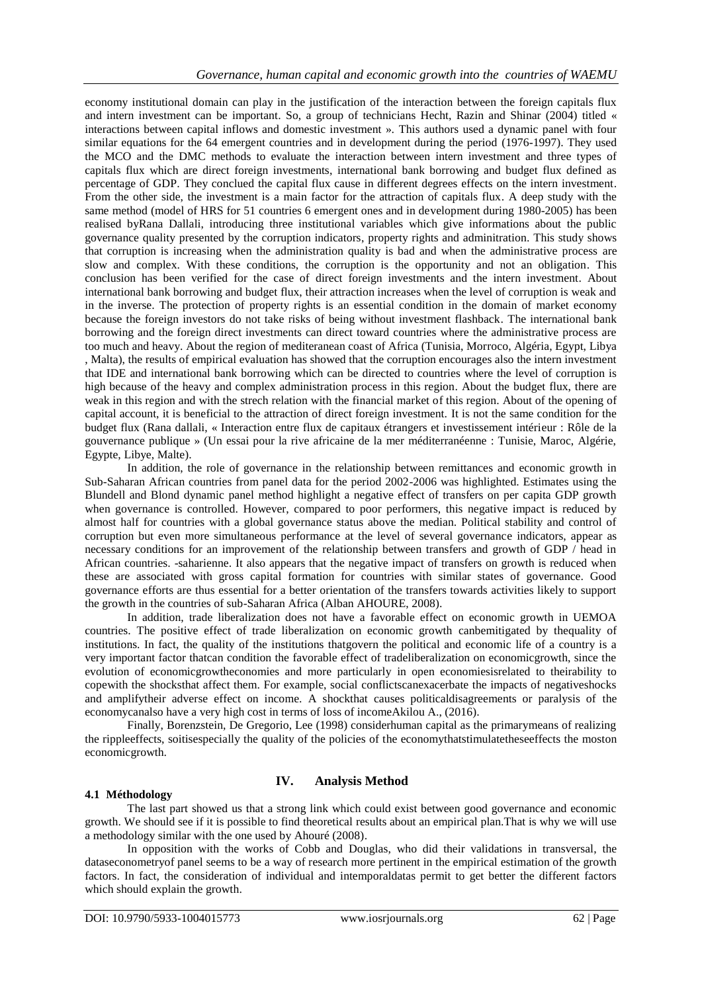economy institutional domain can play in the justification of the interaction between the foreign capitals flux and intern investment can be important. So, a group of technicians Hecht, Razin and Shinar (2004) titled « interactions between capital inflows and domestic investment ». This authors used a dynamic panel with four similar equations for the 64 emergent countries and in development during the period (1976-1997). They used the MCO and the DMC methods to evaluate the interaction between intern investment and three types of capitals flux which are direct foreign investments, international bank borrowing and budget flux defined as percentage of GDP. They conclued the capital flux cause in different degrees effects on the intern investment. From the other side, the investment is a main factor for the attraction of capitals flux. A deep study with the same method (model of HRS for 51 countries 6 emergent ones and in development during 1980-2005) has been realised byRana Dallali, introducing three institutional variables which give informations about the public governance quality presented by the corruption indicators, property rights and adminitration. This study shows that corruption is increasing when the administration quality is bad and when the administrative process are slow and complex. With these conditions, the corruption is the opportunity and not an obligation. This conclusion has been verified for the case of direct foreign investments and the intern investment. About international bank borrowing and budget flux, their attraction increases when the level of corruption is weak and in the inverse. The protection of property rights is an essential condition in the domain of market economy because the foreign investors do not take risks of being without investment flashback. The international bank borrowing and the foreign direct investments can direct toward countries where the administrative process are too much and heavy. About the region of mediteranean coast of Africa (Tunisia, Morroco, Algéria, Egypt, Libya , Malta), the results of empirical evaluation has showed that the corruption encourages also the intern investment that IDE and international bank borrowing which can be directed to countries where the level of corruption is high because of the heavy and complex administration process in this region. About the budget flux, there are weak in this region and with the strech relation with the financial market of this region. About of the opening of capital account, it is beneficial to the attraction of direct foreign investment. It is not the same condition for the budget flux (Rana dallali, « Interaction entre flux de capitaux étrangers et investissement intérieur : Rôle de la gouvernance publique » (Un essai pour la rive africaine de la mer méditerranéenne : Tunisie, Maroc, Algérie, Egypte, Libye, Malte).

In addition, the role of governance in the relationship between remittances and economic growth in Sub-Saharan African countries from panel data for the period 2002-2006 was highlighted. Estimates using the Blundell and Blond dynamic panel method highlight a negative effect of transfers on per capita GDP growth when governance is controlled. However, compared to poor performers, this negative impact is reduced by almost half for countries with a global governance status above the median. Political stability and control of corruption but even more simultaneous performance at the level of several governance indicators, appear as necessary conditions for an improvement of the relationship between transfers and growth of GDP / head in African countries. -saharienne. It also appears that the negative impact of transfers on growth is reduced when these are associated with gross capital formation for countries with similar states of governance. Good governance efforts are thus essential for a better orientation of the transfers towards activities likely to support the growth in the countries of sub-Saharan Africa (Alban AHOURE, 2008).

In addition, trade liberalization does not have a favorable effect on economic growth in UEMOA countries. The positive effect of trade liberalization on economic growth canbemitigated by thequality of institutions. In fact, the quality of the institutions thatgovern the political and economic life of a country is a very important factor thatcan condition the favorable effect of tradeliberalization on economicgrowth, since the evolution of economicgrowtheconomies and more particularly in open economiesisrelated to theirability to copewith the shocksthat affect them. For example, social conflictscanexacerbate the impacts of negativeshocks and amplifytheir adverse effect on income. A shockthat causes politicaldisagreements or paralysis of the economycanalso have a very high cost in terms of loss of incomeAkilou A., (2016).

Finally, Borenzstein, De Gregorio, Lee (1998) considerhuman capital as the primarymeans of realizing the rippleeffects, soitisespecially the quality of the policies of the economythatstimulatetheseeffects the moston economicgrowth.

## **IV. Analysis Method**

#### **4.1 Méthodology**

The last part showed us that a strong link which could exist between good governance and economic growth. We should see if it is possible to find theoretical results about an empirical plan.That is why we will use a methodology similar with the one used by Ahouré (2008).

In opposition with the works of Cobb and Douglas, who did their validations in transversal, the dataseconometryof panel seems to be a way of research more pertinent in the empirical estimation of the growth factors. In fact, the consideration of individual and intemporaldatas permit to get better the different factors which should explain the growth.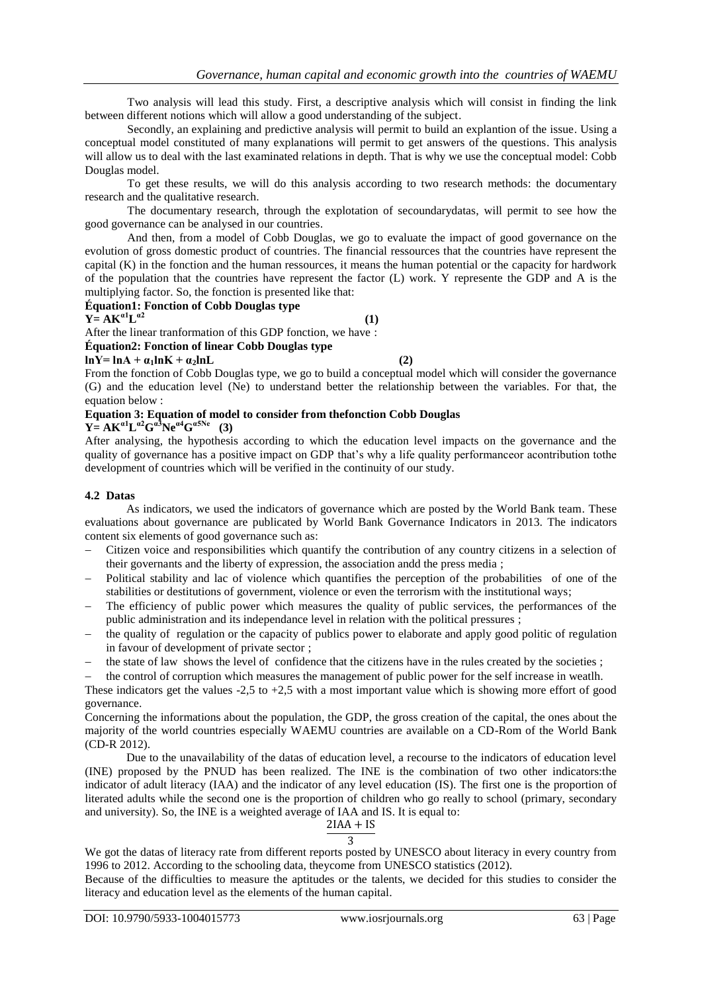Two analysis will lead this study. First, a descriptive analysis which will consist in finding the link between different notions which will allow a good understanding of the subject.

Secondly, an explaining and predictive analysis will permit to build an explantion of the issue. Using a conceptual model constituted of many explanations will permit to get answers of the questions. This analysis will allow us to deal with the last examinated relations in depth. That is why we use the conceptual model: Cobb Douglas model.

To get these results, we will do this analysis according to two research methods: the documentary research and the qualitative research.

The documentary research, through the explotation of secoundarydatas, will permit to see how the good governance can be analysed in our countries.

And then, from a model of Cobb Douglas, we go to evaluate the impact of good governance on the evolution of gross domestic product of countries. The financial ressources that the countries have represent the capital (K) in the fonction and the human ressources, it means the human potential or the capacity for hardwork of the population that the countries have represent the factor (L) work. Y represente the GDP and A is the multiplying factor. So, the fonction is presented like that:

#### **Équation1: Fonction of Cobb Douglas type**

## $Y = AK^{a1}L^{a2}$

 **(1)** After the linear tranformation of this GDP fonction, we have :

#### **Équation2: Fonction of linear Cobb Douglas type**

#### $lnY= lnA + a_1lnK + a_2lnL$  (2)

From the fonction of Cobb Douglas type, we go to build a conceptual model which will consider the governance (G) and the education level (Ne) to understand better the relationship between the variables. For that, the equation below :

## **Equation 3: Equation of model to consider from thefonction Cobb Douglas**

## **Y** =  $AK^{a1}L^{a2}G^{a3}Ne^{a4}G^{a5Ne}$  (3)

After analysing, the hypothesis according to which the education level impacts on the governance and the quality of governance has a positive impact on GDP that's why a life quality performance or acontribution tothe development of countries which will be verified in the continuity of our study.

## **4.2 Datas**

As indicators, we used the indicators of governance which are posted by the World Bank team. These evaluations about governance are publicated by World Bank Governance Indicators in 2013. The indicators content six elements of good governance such as:

- Citizen voice and responsibilities which quantify the contribution of any country citizens in a selection of their governants and the liberty of expression, the association andd the press media ;
- Political stability and lac of violence which quantifies the perception of the probabilities of one of the stabilities or destitutions of government, violence or even the terrorism with the institutional ways;
- The efficiency of public power which measures the quality of public services, the performances of the public administration and its independance level in relation with the political pressures ;
- the quality of regulation or the capacity of publics power to elaborate and apply good politic of regulation in favour of development of private sector ;
- the state of law shows the level of confidence that the citizens have in the rules created by the societies ;

 the control of corruption which measures the management of public power for the self increase in weatlh. These indicators get the values  $-2.5$  to  $+2.5$  with a most important value which is showing more effort of good governance.

Concerning the informations about the population, the GDP, the gross creation of the capital, the ones about the majority of the world countries especially WAEMU countries are available on a CD-Rom of the World Bank (CD-R 2012).

Due to the unavailability of the datas of education level, a recourse to the indicators of education level (INE) proposed by the PNUD has been realized. The INE is the combination of two other indicators:the indicator of adult literacy (IAA) and the indicator of any level education (IS). The first one is the proportion of literated adults while the second one is the proportion of children who go really to school (primary, secondary and university). So, the INE is a weighted average of IAA and IS. It is equal to:

#### $2IAA + IS$ 3

We got the datas of literacy rate from different reports posted by UNESCO about literacy in every country from 1996 to 2012. According to the schooling data, theycome from UNESCO statistics (2012).

Because of the difficulties to measure the aptitudes or the talents, we decided for this studies to consider the literacy and education level as the elements of the human capital.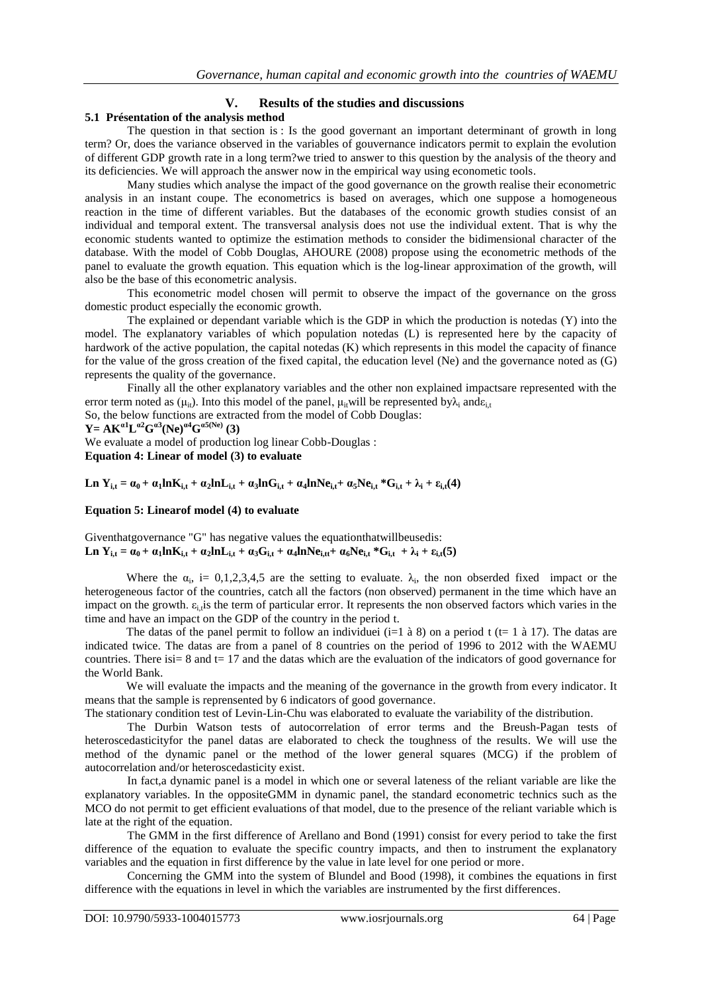## **V. Results of the studies and discussions**

## **5.1 Présentation of the analysis method**

The question in that section is : Is the good governant an important determinant of growth in long term? Or, does the variance observed in the variables of gouvernance indicators permit to explain the evolution of different GDP growth rate in a long term?we tried to answer to this question by the analysis of the theory and its deficiencies. We will approach the answer now in the empirical way using econometic tools.

Many studies which analyse the impact of the good governance on the growth realise their econometric analysis in an instant coupe. The econometrics is based on averages, which one suppose a homogeneous reaction in the time of different variables. But the databases of the economic growth studies consist of an individual and temporal extent. The transversal analysis does not use the individual extent. That is why the economic students wanted to optimize the estimation methods to consider the bidimensional character of the database. With the model of Cobb Douglas, AHOURE (2008) propose using the econometric methods of the panel to evaluate the growth equation. This equation which is the log-linear approximation of the growth, will also be the base of this econometric analysis.

This econometric model chosen will permit to observe the impact of the governance on the gross domestic product especially the economic growth.

The explained or dependant variable which is the GDP in which the production is notedas (Y) into the model. The explanatory variables of which population notedas (L) is represented here by the capacity of hardwork of the active population, the capital notedas (K) which represents in this model the capacity of finance for the value of the gross creation of the fixed capital, the education level (Ne) and the governance noted as (G) represents the quality of the governance.

Finally all the other explanatory variables and the other non explained impactsare represented with the error term noted as ( $\mu_{it}$ ). Into this model of the panel,  $\mu_{it}$ will be represented by $\lambda_i$  and $\varepsilon_{i,t}$ 

So, the below functions are extracted from the model of Cobb Douglas: **Y** =  $AK^{a1}L^{a2}G^{a3}(Ne)^{a4}G^{a5(Ne)}(3)$ We evaluate a model of production log linear Cobb-Douglas :

**Equation 4: Linear of model (3) to evaluate**

Ln  $Y_{i,t} = \alpha_0 + \alpha_1 ln K_{i,t} + \alpha_2 ln L_{i,t} + \alpha_3 ln G_{i,t} + \alpha_4 ln N e_{i,t} + \alpha_5 N e_{i,t} * G_{i,t} + \lambda_i + \varepsilon_{i,t}(4)$ 

## **Equation 5: Linearof model (4) to evaluate**

Giventhatgovernance "G" has negative values the equationthatwillbeusedis: Ln Y<sub>it</sub> =  $\alpha_0 + \alpha_1 ln K_{i,t} + \alpha_2 ln L_{i,t} + \alpha_3 G_{i,t} + \alpha_4 ln N e_{i,t} + \alpha_6 N e_{i,t} * G_{i,t} + \lambda_i + \epsilon_{i,t}(5)$ 

Where the  $\alpha_i$ , i= 0,1,2,3,4,5 are the setting to evaluate.  $\lambda_i$ , the non obserded fixed impact or the heterogeneous factor of the countries, catch all the factors (non observed) permanent in the time which have an impact on the growth.  $\varepsilon_i$ , is the term of particular error. It represents the non observed factors which varies in the time and have an impact on the GDP of the country in the period t.

The datas of the panel permit to follow an individuei (i=1 à 8) on a period t (t= 1 à 17). The datas are indicated twice. The datas are from a panel of 8 countries on the period of 1996 to 2012 with the WAEMU countries. There is  $= 8$  and  $t = 17$  and the datas which are the evaluation of the indicators of good governance for the World Bank.

We will evaluate the impacts and the meaning of the governance in the growth from every indicator. It means that the sample is reprensented by 6 indicators of good governance.

The stationary condition test of Levin-Lin-Chu was elaborated to evaluate the variability of the distribution.

The Durbin Watson tests of autocorrelation of error terms and the Breush-Pagan tests of heteroscedasticityfor the panel datas are elaborated to check the toughness of the results. We will use the method of the dynamic panel or the method of the lower general squares (MCG) if the problem of autocorrelation and/or heteroscedasticity exist.

In fact,a dynamic panel is a model in which one or several lateness of the reliant variable are like the explanatory variables. In the oppositeGMM in dynamic panel, the standard econometric technics such as the MCO do not permit to get efficient evaluations of that model, due to the presence of the reliant variable which is late at the right of the equation.

The GMM in the first difference of Arellano and Bond (1991) consist for every period to take the first difference of the equation to evaluate the specific country impacts, and then to instrument the explanatory variables and the equation in first difference by the value in late level for one period or more.

Concerning the GMM into the system of Blundel and Bood (1998), it combines the equations in first difference with the equations in level in which the variables are instrumented by the first differences.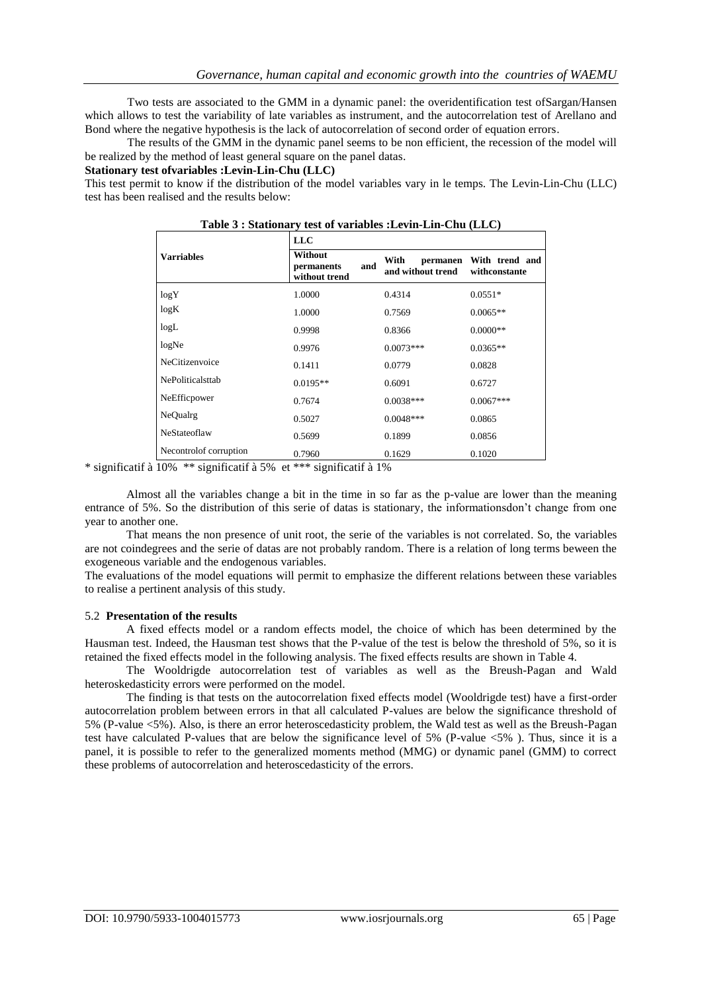Two tests are associated to the GMM in a dynamic panel: the overidentification test ofSargan/Hansen which allows to test the variability of late variables as instrument, and the autocorrelation test of Arellano and Bond where the negative hypothesis is the lack of autocorrelation of second order of equation errors.

The results of the GMM in the dynamic panel seems to be non efficient, the recession of the model will be realized by the method of least general square on the panel datas.

**Stationary test ofvariables :Levin-Lin-Chu (LLC)**

This test permit to know if the distribution of the model variables vary in le temps. The Levin-Lin-Chu (LLC) test has been realised and the results below:

|                        |                                        |     | rapic 9 : biationary test or variables :Levin-Lin-Chu (LLC) |                                 |  |  |
|------------------------|----------------------------------------|-----|-------------------------------------------------------------|---------------------------------|--|--|
|                        | <b>LLC</b>                             |     |                                                             |                                 |  |  |
| Varriables             | Without<br>permanents<br>without trend | and | With<br>permanen<br>and without trend                       | With trend and<br>withconstante |  |  |
| log Y                  | 1.0000                                 |     | 0.4314                                                      | $0.0551*$                       |  |  |
| log K                  | 1.0000                                 |     | 0.7569                                                      | $0.0065**$                      |  |  |
| logL                   | 0.9998                                 |     | 0.8366                                                      | $0.0000**$                      |  |  |
| logNe                  | 0.9976                                 |     | $0.0073***$                                                 | $0.0365**$                      |  |  |
| NeCitizenvoice         | 0.1411                                 |     | 0.0779                                                      | 0.0828                          |  |  |
| NePoliticalsttab       | $0.0195**$                             |     | 0.6091                                                      | 0.6727                          |  |  |
| NeEfficpower           | 0.7674                                 |     | $0.0038***$                                                 | $0.0067***$                     |  |  |
| NeQualrg               | 0.5027                                 |     | $0.0048***$                                                 | 0.0865                          |  |  |
| NeStateoflaw           | 0.5699                                 |     | 0.1899                                                      | 0.0856                          |  |  |
| Necontrolof corruption | 0.7960                                 |     | 0.1629                                                      | 0.1020                          |  |  |

|  |  |  | Table 3 : Stationary test of variables :Levin-Lin-Chu (LLC) |  |
|--|--|--|-------------------------------------------------------------|--|
|--|--|--|-------------------------------------------------------------|--|

\* significatif à 10% \*\* significatif à 5% et \*\*\* significatif à 1%

Almost all the variables change a bit in the time in so far as the p-value are lower than the meaning entrance of 5%. So the distribution of this serie of datas is stationary, the informationsdon"t change from one year to another one.

That means the non presence of unit root, the serie of the variables is not correlated. So, the variables are not coindegrees and the serie of datas are not probably random. There is a relation of long terms beween the exogeneous variable and the endogenous variables.

The evaluations of the model equations will permit to emphasize the different relations between these variables to realise a pertinent analysis of this study.

#### 5.2 **Presentation of the results**

A fixed effects model or a random effects model, the choice of which has been determined by the Hausman test. Indeed, the Hausman test shows that the P-value of the test is below the threshold of 5%, so it is retained the fixed effects model in the following analysis. The fixed effects results are shown in Table 4.

The Wooldrigde autocorrelation test of variables as well as the Breush-Pagan and Wald heteroskedasticity errors were performed on the model.

The finding is that tests on the autocorrelation fixed effects model (Wooldrigde test) have a first-order autocorrelation problem between errors in that all calculated P-values are below the significance threshold of 5% (P-value <5%). Also, is there an error heteroscedasticity problem, the Wald test as well as the Breush-Pagan test have calculated P-values that are below the significance level of 5% (P-value <5% ). Thus, since it is a panel, it is possible to refer to the generalized moments method (MMG) or dynamic panel (GMM) to correct these problems of autocorrelation and heteroscedasticity of the errors.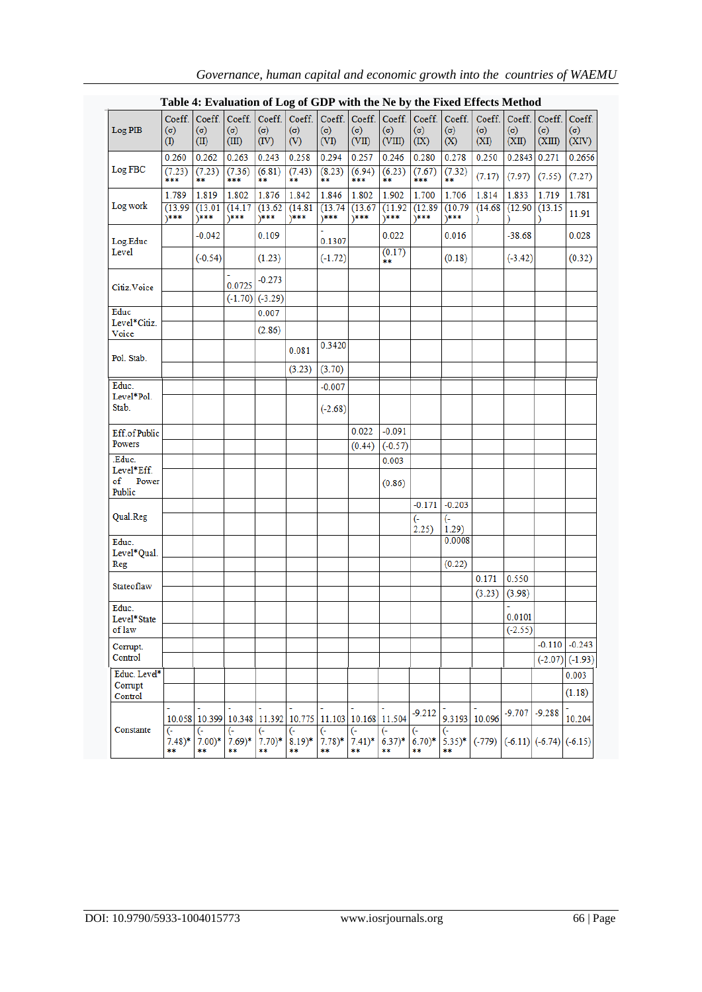|                                              | Table 4: Evaluation of Log of GDP with the Ne by the Fixed Effects Method |                              |                               |                              |                             |                            |                                      |                                |                            |                                           |                              |                     |                                |                               |
|----------------------------------------------|---------------------------------------------------------------------------|------------------------------|-------------------------------|------------------------------|-----------------------------|----------------------------|--------------------------------------|--------------------------------|----------------------------|-------------------------------------------|------------------------------|---------------------|--------------------------------|-------------------------------|
| Log PIB                                      | Coeff.<br>$(\sigma)$<br>(1)                                               | Coeff.<br>$(\sigma)$<br>(II) | Coeff.<br>$(\sigma)$<br>(III) | Coeff.<br>(σ)<br>(IV)        | Coeff.<br>$(\sigma)$<br>(V) | $(\sigma)$<br>(VI)         | Coeff. Coeff.<br>$(\sigma)$<br>(VII) | Coeff.<br>$(\sigma)$<br>(VIII) | $(\sigma)$<br>(IX)         | Coeff. Coeff.<br>$(\sigma)$<br>(X)        | Coeff.<br>$(\sigma)$<br>(XI) | $(\sigma)$<br>(XII) | Coeff. Coeff.<br>(σ)<br>(XIII) | Coeff.<br>$(\sigma)$<br>(XIV) |
| Log FBC                                      | 0.260<br>(7.23)<br>***                                                    | 0.262<br>(7.23)<br>**        | 0.263<br>(7.36)<br>***        | 0.243<br>(6.81)<br>**        | 0.258<br>(7.43)<br>**       | 0.294<br>(8.23)<br>**      | 0.257<br>(6.94)<br>***               | 0.246<br>(6.23)<br>**          | 0.280<br>(7.67)<br>***     | 0.278<br>(7.32)<br>ň#                     | 0.250<br>(7.17)              | 0.2843<br>(7.97)    | 0.271<br>(7.55)                | 0.2656<br>(7.27)              |
| Log work                                     | 1.789<br>(13.99)<br>)***                                                  | 1.819<br>(13.01)<br>1***     | 1.802<br>(14.17)<br>$*$ **    | 1.876<br>(13.62)<br>\***     | 1.842<br>(14.81)<br>$*$ *** | 1.846<br>(13.74)<br>$****$ | 1.802<br>(13.67)<br>1***             | 1.902<br>(11.92)<br>1***       | 1.700<br>(12.89)<br>$*$ ** | 1.706<br>(10.79)<br>1***                  | 1.814<br>(14.68)             | 1.833<br>(12.90)    | 1.719<br>(13.15)               | 1.781<br>11.91                |
| Log.Educ                                     |                                                                           | $-0.042$                     |                               | 0.109                        |                             | 0.1307                     |                                      | 0.022                          |                            | 0.016                                     |                              | $-38.68$            |                                | 0.028                         |
| Level                                        |                                                                           | $(-0.54)$                    |                               | (1.23)                       |                             | $(-1.72)$                  |                                      | (0.17)<br>**                   |                            | (0.18)                                    |                              | $(-3.42)$           |                                | (0.32)                        |
| Citiz. Voice                                 |                                                                           |                              | 0.0725                        | $-0.273$<br>$(-1.70)(-3.29)$ |                             |                            |                                      |                                |                            |                                           |                              |                     |                                |                               |
| Educ<br>Level*Citiz.                         |                                                                           |                              |                               | 0.007<br>(2.86)              |                             |                            |                                      |                                |                            |                                           |                              |                     |                                |                               |
| Voice<br>Pol. Stab.                          |                                                                           |                              |                               |                              | 0.081                       | 0.3420                     |                                      |                                |                            |                                           |                              |                     |                                |                               |
|                                              |                                                                           |                              |                               |                              | (3.23)                      | (3.70)                     |                                      |                                |                            |                                           |                              |                     |                                |                               |
| Educ.<br>Level*Pol.<br>Stab.                 |                                                                           |                              |                               |                              |                             | $-0.007$<br>$(-2.68)$      |                                      |                                |                            |                                           |                              |                     |                                |                               |
| Eff.ofPublic<br>Powers                       |                                                                           |                              |                               |                              |                             |                            | 0.022<br>(0.44)                      | $-0.091$<br>$(-0.57)$          |                            |                                           |                              |                     |                                |                               |
| Educ.<br>Level*Eff.<br>Power<br>of<br>Public |                                                                           |                              |                               |                              |                             |                            |                                      | 0.003<br>(0.86)                |                            |                                           |                              |                     |                                |                               |
| Qual.Reg                                     |                                                                           |                              |                               |                              |                             |                            |                                      |                                | $-0.171$<br>(-<br>2.25)    | $-0.203$<br>$\left(\cdot\right)$<br>1.29) |                              |                     |                                |                               |
| Educ.<br>Level*Qual.<br>Reg                  |                                                                           |                              |                               |                              |                             |                            |                                      |                                |                            | 0.0008<br>(0.22)                          |                              |                     |                                |                               |
| Stateoflaw                                   |                                                                           |                              |                               |                              |                             |                            |                                      |                                |                            |                                           | 0.171<br>(3.23)              | 0.550<br>(3.98)     |                                |                               |
| Educ.<br>Level*State<br>of law               |                                                                           |                              |                               |                              |                             |                            |                                      |                                |                            |                                           |                              | 0.0101<br>$(-2.55)$ |                                |                               |
| Corrupt.<br>Control                          |                                                                           |                              |                               |                              |                             |                            |                                      |                                |                            |                                           |                              |                     | $-0.110$<br>$(-2.07)$          | $-0.243$<br>$(-1.93)$         |
| Educ. Level*<br>Corrupt<br>Control           |                                                                           |                              |                               |                              |                             |                            |                                      |                                |                            |                                           |                              |                     |                                | 0.003<br>(1.18)               |
|                                              |                                                                           |                              |                               | 10.058 10.399 10.348 11.392  | 10.775                      |                            | 11.103 10.168 11.504                 |                                | $-9.212$                   | 9.3193 10.096                             |                              | $-9.707$            | $-9.288$                       | 10.204                        |
| Constante                                    | (-<br>$7.48)*$<br>**                                                      | (-<br>$7.00)*$<br>**         | (-<br>$7.69)*$<br>**          | (-<br>$7.70*$<br>**          | (-<br>$8.19)*$<br>**        | (-<br>$7.78)*$<br>**       | (-<br>$7.41)*$<br>**                 | $(6.37)^*$<br>**               | ←)<br>$6.70)*$<br>**       | $5.35)*$<br>**                            | $(-779)$                     |                     | $(-6.11)$ $(-6.74)$ $(-6.15)$  |                               |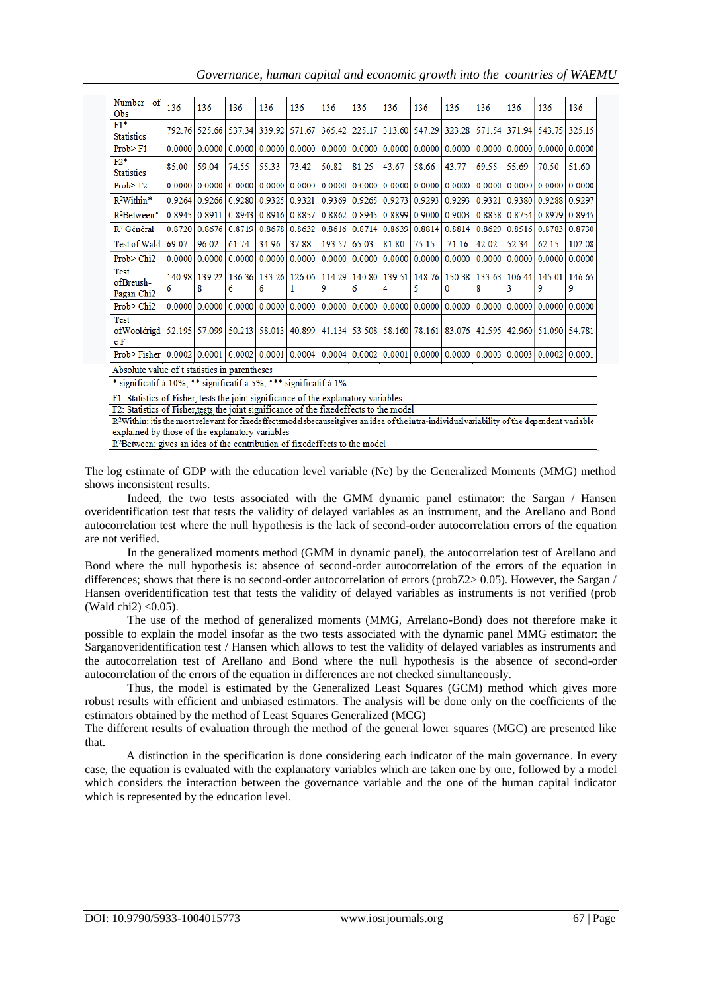*Governance, human capital and economic growth into the countries of WAEMU*

| Number of<br>O <sub>bs</sub>                                                                                                   | 136         | 136         | 136    | 136    | 136                       | 136    | 136                        | 136                       | 136    | 136                           | 136         | 136         | 136                  | 136         |
|--------------------------------------------------------------------------------------------------------------------------------|-------------|-------------|--------|--------|---------------------------|--------|----------------------------|---------------------------|--------|-------------------------------|-------------|-------------|----------------------|-------------|
| $F1*$<br><b>Statistics</b>                                                                                                     | 792.76      | 525.66      | 537.34 | 339.92 | 571.67                    |        | 365.42 225.17              | 313.60                    | 547.29 | 323.28                        | 571.54      | 371.94      | 543.75               | 325.15      |
| Prob > F1                                                                                                                      | 0.0000      | 0.0000      | 0.0000 | 0.0000 | 0.0000                    | 0.0000 | 0.0000                     | 0.0000                    | 0.0000 | 0.0000                        | 0.0000      | 0.0000      | 0.0000               | 0.0000      |
| $F2*$<br><b>Statistics</b>                                                                                                     | 85.00       | 59.04       | 74.55  | 55.33  | 73.42                     | 50.82  | 81.25                      | 43.67                     | 58.66  | 43.77                         | 69.55       | 55.69       | 70.50                | 51.60       |
| Prob > F2                                                                                                                      | 0.0000      | 0.0000      | 0.0000 | 0.0000 | 0.0000                    | 0.0000 | 0.0000                     | 0.0000                    | 0.0000 | 0.0000                        | 0.0000      | 0.0000      | 0.0000               | 0.0000      |
| $R^2$ Within*                                                                                                                  | 0.9264      | 0.9266      | 0.9280 | 0.9325 | 0.9321                    | 0.9369 | 0.9265                     | 0.9273                    | 0.9293 | 0.9293                        | 0.9321      |             | 0.9380   0.9288      | 0.9297      |
| $R^2$ Between*                                                                                                                 | 0.8945      | 0.8911      | 0.8943 | 0.8916 | 0.8857                    | 0.8862 | 0.8945                     | 0.8899                    | 0.9000 | 0.9003                        | 0.8858      | 0.8754      | 0.8979               | 0.8945      |
| R <sup>2</sup> Général                                                                                                         | 0.8720      | 0.8676      | 0.8719 | 0.8678 | 0.8632                    | 0.8616 | 0.8714                     | 0.8639                    | 0.8814 | 0.8814                        | 0.8629      | 0.8516      | 0.8783               | 0.8730      |
| <b>Test of Wald</b>                                                                                                            | 69.07       | 96.02       | 61.74  | 34.96  | 37.88                     | 193.57 | 65.03                      | 81.80                     | 75.15  | 71.16                         | 42.02       | 52.34       | 62.15                | 102.08      |
| Prob> Chi2                                                                                                                     | 0.0000      | 0.0000      | 0.0000 | 0.0000 | 0.0000                    | 0.0000 | 0.0000                     | 0.0000                    | 0.0000 | 0.0000                        | 0.0000      | 0.0000      | 0.0000               | 0.0000      |
| <b>Test</b><br>ofBreush-<br>Pagan Chi <sub>2</sub>                                                                             | 140.98<br>6 | 139.22<br>8 | 6      | 6      | 136.36 133.26 126.06<br>1 | 9      | 6                          | 114.29 140.80 139.51<br>4 | 5      | 148.76 150.38<br>$\mathbf{0}$ | 133.63<br>8 | 106.44<br>3 | 145.01<br>9          | 146.65<br>9 |
| Prob > Chi2                                                                                                                    | 0.0000      | 0.0000      | 0.0000 | 0.0000 | 0.0000                    | 0.0000 | 0.0000                     | 0.0000                    | 0.0000 | 0.0000                        | 0.0000      | 0.0000      | 0.0000               | 0.0000      |
| <b>Test</b><br>of Wooldrigd   52.195   57.099   50.213   58.013   40.899   41.134   53.508   58.160   78.161   83.076  <br>e F |             |             |        |        |                           |        |                            |                           |        |                               | 42.595      |             | 42.960 51.090 54.781 |             |
| Prob>Fisher                                                                                                                    | 0.0002      | 0.0001      | 0.0002 | 0.0001 |                           |        | $0.0004$   0.0004   0.0002 | 0.0001                    |        | 0.0000   0.0000               | 0.0003      | 0.0003      | 0.0002               | 0.0001      |
| Absolute value of t statistics in parentheses                                                                                  |             |             |        |        |                           |        |                            |                           |        |                               |             |             |                      |             |
| significatif à 10%; ** significatif à 5%; *** significatif à 1%                                                                |             |             |        |        |                           |        |                            |                           |        |                               |             |             |                      |             |

F1: Statistics of Fisher, tests the joint significance of the explanatory variables

F2: Statistics of Fisher tests the joint significance of the fixedeffects to the model

R<sup>2</sup>Within: itis the most relevant for fixedeffectsmodelsbecauseitgives an idea of the intra-individual variability of the dependent variable explained by those of the explanatory variables

R<sup>2</sup>Between: gives an idea of the contribution of fixedeffects to the model

The log estimate of GDP with the education level variable (Ne) by the Generalized Moments (MMG) method shows inconsistent results.

Indeed, the two tests associated with the GMM dynamic panel estimator: the Sargan / Hansen overidentification test that tests the validity of delayed variables as an instrument, and the Arellano and Bond autocorrelation test where the null hypothesis is the lack of second-order autocorrelation errors of the equation are not verified.

In the generalized moments method (GMM in dynamic panel), the autocorrelation test of Arellano and Bond where the null hypothesis is: absence of second-order autocorrelation of the errors of the equation in differences; shows that there is no second-order autocorrelation of errors (probZ2> 0.05). However, the Sargan / Hansen overidentification test that tests the validity of delayed variables as instruments is not verified (prob (Wald chi2) <0.05).

The use of the method of generalized moments (MMG, Arrelano-Bond) does not therefore make it possible to explain the model insofar as the two tests associated with the dynamic panel MMG estimator: the Sarganoveridentification test / Hansen which allows to test the validity of delayed variables as instruments and the autocorrelation test of Arellano and Bond where the null hypothesis is the absence of second-order autocorrelation of the errors of the equation in differences are not checked simultaneously.

Thus, the model is estimated by the Generalized Least Squares (GCM) method which gives more robust results with efficient and unbiased estimators. The analysis will be done only on the coefficients of the estimators obtained by the method of Least Squares Generalized (MCG)

The different results of evaluation through the method of the general lower squares (MGC) are presented like that.

A distinction in the specification is done considering each indicator of the main governance. In every case, the equation is evaluated with the explanatory variables which are taken one by one, followed by a model which considers the interaction between the governance variable and the one of the human capital indicator which is represented by the education level.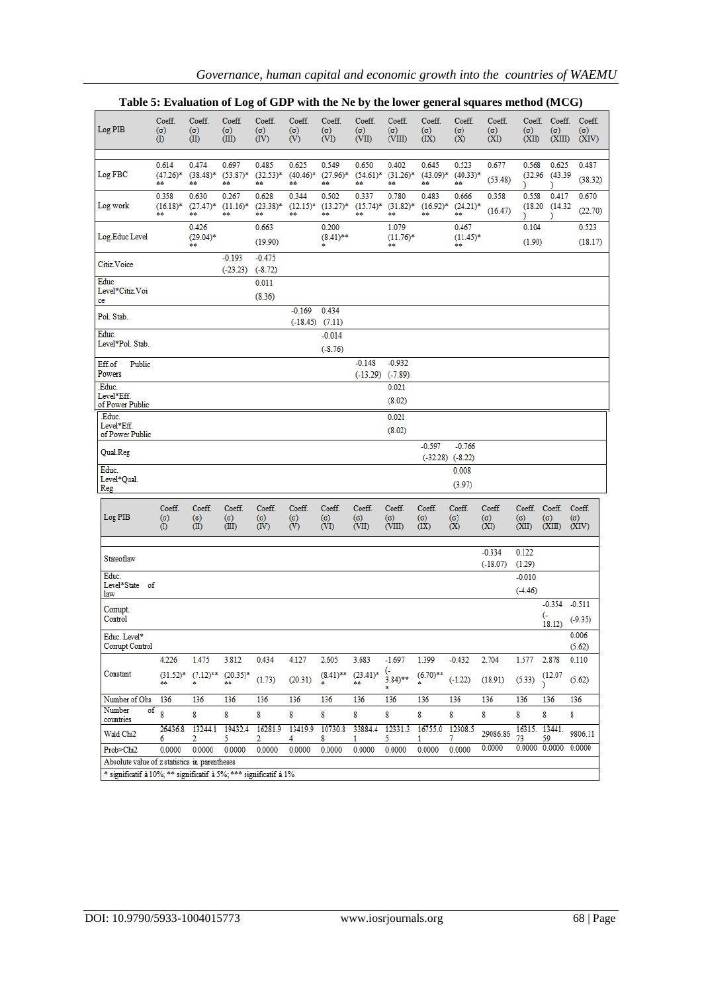|                                                                   | raoic or Evanuation or Eq.        |                              |                               | vı<br>$\mathbf{u}$           |                             | $m$ and $m$           |                               | une to wel                                      |                             |                             | $\epsilon$ and $\epsilon$ and $\epsilon$ is increased $(1.100)$ |                     |                            |                                             |
|-------------------------------------------------------------------|-----------------------------------|------------------------------|-------------------------------|------------------------------|-----------------------------|-----------------------|-------------------------------|-------------------------------------------------|-----------------------------|-----------------------------|-----------------------------------------------------------------|---------------------|----------------------------|---------------------------------------------|
| Log PIB                                                           | Coeff.<br>$(\sigma)$<br>$\left( $ | Coeff.<br>$(\sigma)$<br>(II) | Coeff.<br>$(\sigma)$<br>(III) | Coeff.<br>$(\sigma)$<br>(IV) | Coeff.<br>$(\sigma)$<br>(V) | Coeff.<br>(σ)<br>(VI) | Coeff.<br>$(\sigma)$<br>(VII) | Coeff.<br>$(\sigma)$<br>(VIII)                  | Coeff.<br>$(\sigma)$<br>(X) | Coeff.<br>$(\sigma)$<br>(X) | Coeff.<br>$(\sigma)$<br>(XI)                                    | $(\sigma)$<br>(XII) | $(\sigma)$<br>(XIII)       | Coeff. Coeff. Coeff.<br>$(\sigma)$<br>(XIV) |
|                                                                   |                                   |                              |                               |                              |                             |                       |                               |                                                 |                             |                             |                                                                 |                     |                            |                                             |
|                                                                   | 0.614                             | 0.474                        | 0.697                         | 0.485                        | 0.625                       | 0.549                 | 0.650                         | 0.402                                           | 0.645                       | 0.523                       | 0.677                                                           | 0.568               | 0.625                      | 0.487                                       |
| Log FBC                                                           | $(47.26)^*$                       | $(38.48)^*$                  | $(53.87)$ *                   | $(32.53)*$                   | $(40.46)^*$                 | $(27.96)^*$           | $(54.61)^*$                   | $(31.26)^*$                                     |                             | $(43.09)^*$ $(40.33)^*$     | (53.48)                                                         |                     | $(32.96)$ $(43.39)$        | (38.32)                                     |
|                                                                   | **                                | **                           | **                            | **                           | **                          | **                    | **                            | **                                              | **                          | **                          |                                                                 | Y                   | J.                         |                                             |
|                                                                   | 0.358                             | 0.630                        | 0.267                         | 0.628                        | 0.344                       | 0.502                 | 0.337                         | 0.780                                           | 0.483                       | 0.666                       | 0.358                                                           | 0.558               | 0.417                      | 0.670                                       |
| Log work                                                          | $(16.18)^*$<br>88                 |                              | $(27.47)^*$ $(11.16)^*$<br>88 | $(23.38)^*$                  | **                          |                       |                               | $(12.15)^*$ $(13.27)^*$ $(15.74)^*$ $(31.82)^*$ | $(16.92)^*$                 | $(24.21)^*$<br>**           | (16.47)                                                         |                     | (18.20)(14.32)             | (22.70)                                     |
|                                                                   |                                   | **                           |                               | **                           |                             | **                    | 88                            | **                                              | **                          |                             |                                                                 |                     |                            |                                             |
|                                                                   |                                   | 0.426                        |                               | 0.663                        |                             | 0.200                 |                               | 1.079                                           |                             | 0.467                       |                                                                 | 0.104               |                            | 0.523                                       |
| Log.Educ Level                                                    |                                   | $(29.04)^*$<br>**            |                               | (19.90)                      |                             | $(8.41)$ **           |                               | $(11.76)^*$<br>88                               |                             | $(11.45)^*$<br>**           |                                                                 | (1.90)              |                            | (18.17)                                     |
|                                                                   |                                   |                              | $-0.193$                      | $-0.475$                     |                             |                       |                               |                                                 |                             |                             |                                                                 |                     |                            |                                             |
| Citiz. Voice                                                      |                                   |                              |                               |                              |                             |                       |                               |                                                 |                             |                             |                                                                 |                     |                            |                                             |
|                                                                   |                                   |                              | $(-23.23)$                    | $(-8.72)$                    |                             |                       |                               |                                                 |                             |                             |                                                                 |                     |                            |                                             |
| Educ<br>Level*Citiz.Voi                                           |                                   |                              |                               | 0.011                        |                             |                       |                               |                                                 |                             |                             |                                                                 |                     |                            |                                             |
| ce                                                                |                                   |                              |                               | (8.36)                       |                             |                       |                               |                                                 |                             |                             |                                                                 |                     |                            |                                             |
|                                                                   |                                   |                              |                               |                              | $-0.169$                    | 0.434                 |                               |                                                 |                             |                             |                                                                 |                     |                            |                                             |
| Pol. Stab.                                                        |                                   |                              |                               |                              | $(-18.45)$ $(7.11)$         |                       |                               |                                                 |                             |                             |                                                                 |                     |                            |                                             |
| Educ.                                                             |                                   |                              |                               |                              |                             | $-0.014$              |                               |                                                 |                             |                             |                                                                 |                     |                            |                                             |
| Level*Pol. Stab.                                                  |                                   |                              |                               |                              |                             |                       |                               |                                                 |                             |                             |                                                                 |                     |                            |                                             |
|                                                                   |                                   |                              |                               |                              |                             | $(-8.76)$             |                               |                                                 |                             |                             |                                                                 |                     |                            |                                             |
| Public<br>Eff.of                                                  |                                   |                              |                               |                              |                             |                       | $-0.148$                      | $-0.932$                                        |                             |                             |                                                                 |                     |                            |                                             |
| Powers                                                            |                                   |                              |                               |                              |                             |                       |                               | $(-13.29)$ $(-7.89)$                            |                             |                             |                                                                 |                     |                            |                                             |
| Educ.                                                             |                                   |                              |                               |                              |                             |                       |                               | 0.021                                           |                             |                             |                                                                 |                     |                            |                                             |
| Level*Eff.                                                        |                                   |                              |                               |                              |                             |                       |                               |                                                 |                             |                             |                                                                 |                     |                            |                                             |
| of Power Public                                                   |                                   |                              |                               |                              |                             |                       |                               | (8.02)                                          |                             |                             |                                                                 |                     |                            |                                             |
| Educ.                                                             |                                   |                              |                               |                              |                             |                       |                               | 0.021                                           |                             |                             |                                                                 |                     |                            |                                             |
| Level*Eff.                                                        |                                   |                              |                               |                              |                             |                       |                               | (8.02)                                          |                             |                             |                                                                 |                     |                            |                                             |
| of Power Public                                                   |                                   |                              |                               |                              |                             |                       |                               |                                                 |                             |                             |                                                                 |                     |                            |                                             |
| Qual.Reg                                                          |                                   |                              |                               |                              |                             |                       |                               |                                                 | $-0.597$                    | $-0.766$                    |                                                                 |                     |                            |                                             |
|                                                                   |                                   |                              |                               |                              |                             |                       |                               |                                                 |                             | $(-32.28)$ $(-8.22)$        |                                                                 |                     |                            |                                             |
| Educ.                                                             |                                   |                              |                               |                              |                             |                       |                               |                                                 |                             | 0.008                       |                                                                 |                     |                            |                                             |
| Level*Qual.<br>Reg                                                |                                   |                              |                               |                              |                             |                       |                               |                                                 |                             | (3.97)                      |                                                                 |                     |                            |                                             |
|                                                                   |                                   |                              |                               |                              |                             |                       |                               |                                                 |                             |                             |                                                                 |                     |                            |                                             |
|                                                                   | Coeff.                            | Coeff.                       | Coeff.                        | Coeff.                       | Coeff.                      | Coeff.                | Coeff.                        | Coeff.                                          | Coeff.                      | Coeff.                      | Coeff.                                                          |                     | Coeff. Coeff. Coeff.       |                                             |
| Log PIB                                                           | $(\sigma)$                        | $(\sigma)$                   | $(\sigma)$                    | $(\sigma)$                   | $(\sigma)$                  | $(\sigma)$            | $(\sigma)$                    | (σ)                                             | (σ)                         | $(\sigma)$                  | (σ)                                                             | $(\sigma)$          | (σ)                        | $(\sigma)$                                  |
|                                                                   | $\left( 0\right)$                 | (II)                         | (III)                         | (IV)                         | $\dot{\text{(V)}}$          | (VI)                  | (VII)                         | (VIII)                                          | (X)                         | (X)                         | (XI)                                                            | (XII)               | (XIII)                     | (XIV)                                       |
|                                                                   |                                   |                              |                               |                              |                             |                       |                               |                                                 |                             |                             |                                                                 |                     |                            |                                             |
|                                                                   |                                   |                              |                               |                              |                             |                       |                               |                                                 |                             |                             | $-0.334$                                                        | 0.122               |                            |                                             |
| Stateoflaw                                                        |                                   |                              |                               |                              |                             |                       |                               |                                                 |                             |                             | (.18.07)                                                        | (1.29)              |                            |                                             |
| Educ.                                                             |                                   |                              |                               |                              |                             |                       |                               |                                                 |                             |                             |                                                                 | $-0.010$            |                            |                                             |
| Level*State of                                                    |                                   |                              |                               |                              |                             |                       |                               |                                                 |                             |                             |                                                                 |                     |                            |                                             |
| law                                                               |                                   |                              |                               |                              |                             |                       |                               |                                                 |                             |                             |                                                                 | $(-4.46)$           |                            |                                             |
| Corrupt.                                                          |                                   |                              |                               |                              |                             |                       |                               |                                                 |                             |                             |                                                                 |                     | $-0.354 -0.511$            |                                             |
| Control                                                           |                                   |                              |                               |                              |                             |                       |                               |                                                 |                             |                             |                                                                 |                     | <sub>(-</sub>              | $(-9.35)$                                   |
|                                                                   |                                   |                              |                               |                              |                             |                       |                               |                                                 |                             |                             |                                                                 |                     | 18.12)                     |                                             |
| Educ. Level*                                                      |                                   |                              |                               |                              |                             |                       |                               |                                                 |                             |                             |                                                                 |                     |                            | 0.006                                       |
| Corrupt Control                                                   |                                   |                              |                               |                              |                             |                       |                               |                                                 |                             |                             |                                                                 |                     |                            | (5.62)                                      |
|                                                                   | 4.226                             | 1.475                        | 3.812                         | 0.434                        | 4.127                       | 2.605                 | 3.683                         | $-1.697$                                        | 1.399                       | $-0.432$                    | 2.704                                                           | 1.577               | 2.878                      | 0.110                                       |
| Constant                                                          |                                   | $(31.52)^*$ $(7.12)^**$      | $(20.35)*$                    |                              |                             | $(8.41)$ **           | $(23.41)^*$                   | (-<br>3.84)**                                   | $(6.70)$ **                 |                             |                                                                 |                     | (12.07)                    |                                             |
|                                                                   | 88                                | ż                            |                               | (1.73)                       | (20.31)                     |                       | 88                            |                                                 |                             | $(-1.22)$                   | (18.91)                                                         | (5.33)              |                            | (5.62)                                      |
|                                                                   |                                   |                              |                               |                              |                             |                       |                               | \$                                              |                             |                             |                                                                 |                     |                            |                                             |
| Number of Obs                                                     | 136                               | 136                          | 136                           | 136                          | 136                         | 136                   | 136                           | 136                                             | 136                         | 136                         | 136                                                             | 136                 | 136                        | 136                                         |
| Number<br>countries                                               | of<br>$\mathbf{R}$                | 8                            | 8                             | 8                            | 8                           | 8                     | 8                             | 8                                               | 8                           | 8                           | 8                                                               | 8                   | 8                          | 8                                           |
|                                                                   | 26436.8                           | 13244.1                      | 19432.4                       | 16281.9                      | 13419.9                     | 10730.8               | 33884.4                       | 12331.3                                         | 16755.0                     | 12308.5                     |                                                                 |                     | 16315. 13441.              |                                             |
| Wald Chi2                                                         | 6                                 | 2                            | 5.                            | 2                            | 4                           | 8                     | 1                             | 5                                               | 1                           | 7                           | 29086.86                                                        | 73                  | 59                         | 9806.11                                     |
| Prob>Chi2                                                         | 0.0000                            | 0.0000                       | 0.0000                        | 0.0000                       | 0.0000                      | 0.0000                | 0.0000                        | 0.0000                                          | 0.0000                      | 0.0000                      | 0.0000                                                          |                     | $0.0000$ $0.0000$ $0.0000$ |                                             |
| Absolute value of z statistics in parentheses                     |                                   |                              |                               |                              |                             |                       |                               |                                                 |                             |                             |                                                                 |                     |                            |                                             |
| * significatif à 10%; ** significatif à 5%; *** significatif à 1% |                                   |                              |                               |                              |                             |                       |                               |                                                 |                             |                             |                                                                 |                     |                            |                                             |
|                                                                   |                                   |                              |                               |                              |                             |                       |                               |                                                 |                             |                             |                                                                 |                     |                            |                                             |

|  | Table 5: Evaluation of Log of GDP with the Ne by the lower general squares method (MCG) |  |
|--|-----------------------------------------------------------------------------------------|--|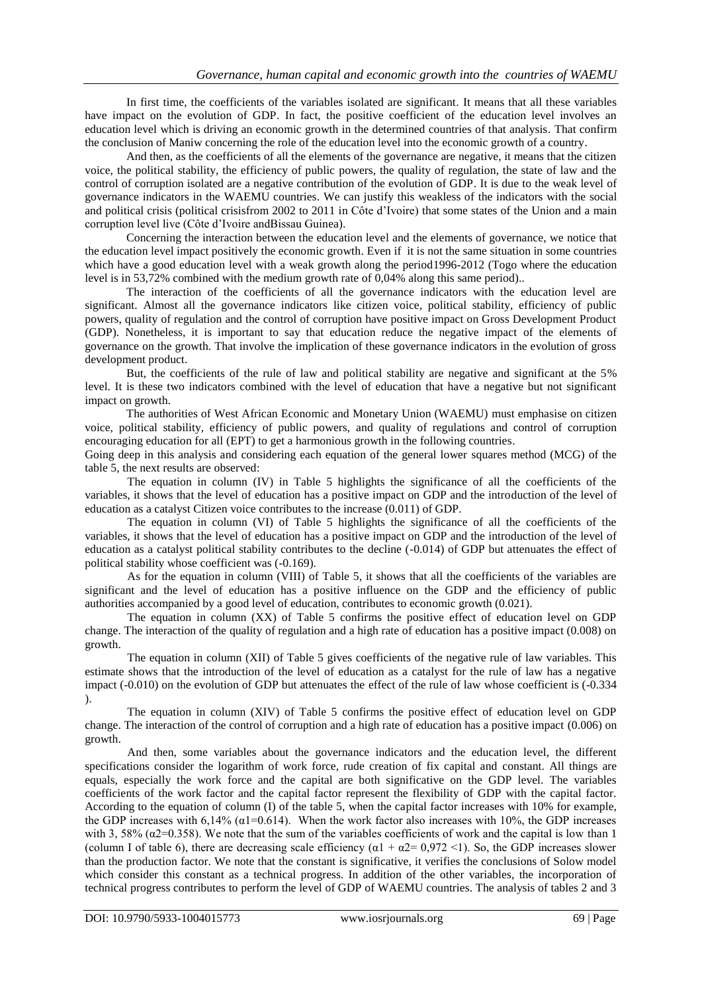In first time, the coefficients of the variables isolated are significant. It means that all these variables have impact on the evolution of GDP. In fact, the positive coefficient of the education level involves an education level which is driving an economic growth in the determined countries of that analysis. That confirm the conclusion of Maniw concerning the role of the education level into the economic growth of a country.

And then, as the coefficients of all the elements of the governance are negative, it means that the citizen voice, the political stability, the efficiency of public powers, the quality of regulation, the state of law and the control of corruption isolated are a negative contribution of the evolution of GDP. It is due to the weak level of governance indicators in the WAEMU countries. We can justify this weakless of the indicators with the social and political crisis (political crisisfrom 2002 to 2011 in Côte d"Ivoire) that some states of the Union and a main corruption level live (Côte d"Ivoire andBissau Guinea).

Concerning the interaction between the education level and the elements of governance, we notice that the education level impact positively the economic growth. Even if it is not the same situation in some countries which have a good education level with a weak growth along the period1996-2012 (Togo where the education level is in 53,72% combined with the medium growth rate of 0,04% along this same period)..

The interaction of the coefficients of all the governance indicators with the education level are significant. Almost all the governance indicators like citizen voice, political stability, efficiency of public powers, quality of regulation and the control of corruption have positive impact on Gross Development Product (GDP). Nonetheless, it is important to say that education reduce the negative impact of the elements of governance on the growth. That involve the implication of these governance indicators in the evolution of gross development product.

But, the coefficients of the rule of law and political stability are negative and significant at the 5% level. It is these two indicators combined with the level of education that have a negative but not significant impact on growth.

The authorities of West African Economic and Monetary Union (WAEMU) must emphasise on citizen voice, political stability, efficiency of public powers, and quality of regulations and control of corruption encouraging education for all (EPT) to get a harmonious growth in the following countries.

Going deep in this analysis and considering each equation of the general lower squares method (MCG) of the table 5, the next results are observed:

The equation in column (IV) in Table 5 highlights the significance of all the coefficients of the variables, it shows that the level of education has a positive impact on GDP and the introduction of the level of education as a catalyst Citizen voice contributes to the increase (0.011) of GDP.

The equation in column (VI) of Table 5 highlights the significance of all the coefficients of the variables, it shows that the level of education has a positive impact on GDP and the introduction of the level of education as a catalyst political stability contributes to the decline (-0.014) of GDP but attenuates the effect of political stability whose coefficient was (-0.169).

As for the equation in column (VIII) of Table 5, it shows that all the coefficients of the variables are significant and the level of education has a positive influence on the GDP and the efficiency of public authorities accompanied by a good level of education, contributes to economic growth (0.021).

The equation in column (XX) of Table 5 confirms the positive effect of education level on GDP change. The interaction of the quality of regulation and a high rate of education has a positive impact (0.008) on growth.

The equation in column (XII) of Table 5 gives coefficients of the negative rule of law variables. This estimate shows that the introduction of the level of education as a catalyst for the rule of law has a negative impact (-0.010) on the evolution of GDP but attenuates the effect of the rule of law whose coefficient is (-0.334 ).

The equation in column (XIV) of Table 5 confirms the positive effect of education level on GDP change. The interaction of the control of corruption and a high rate of education has a positive impact (0.006) on growth.

And then, some variables about the governance indicators and the education level, the different specifications consider the logarithm of work force, rude creation of fix capital and constant. All things are equals, especially the work force and the capital are both significative on the GDP level. The variables coefficients of the work factor and the capital factor represent the flexibility of GDP with the capital factor. According to the equation of column (I) of the table 5, when the capital factor increases with 10% for example, the GDP increases with 6,14% ( $\alpha$ 1=0.614). When the work factor also increases with 10%, the GDP increases with 3, 58% ( $\alpha$ 2=0.358). We note that the sum of the variables coefficients of work and the capital is low than 1 (column I of table 6), there are decreasing scale efficiency  $(\alpha_1 + \alpha_2 = 0.972 \le 1)$ . So, the GDP increases slower than the production factor. We note that the constant is significative, it verifies the conclusions of Solow model which consider this constant as a technical progress. In addition of the other variables, the incorporation of technical progress contributes to perform the level of GDP of WAEMU countries. The analysis of tables 2 and 3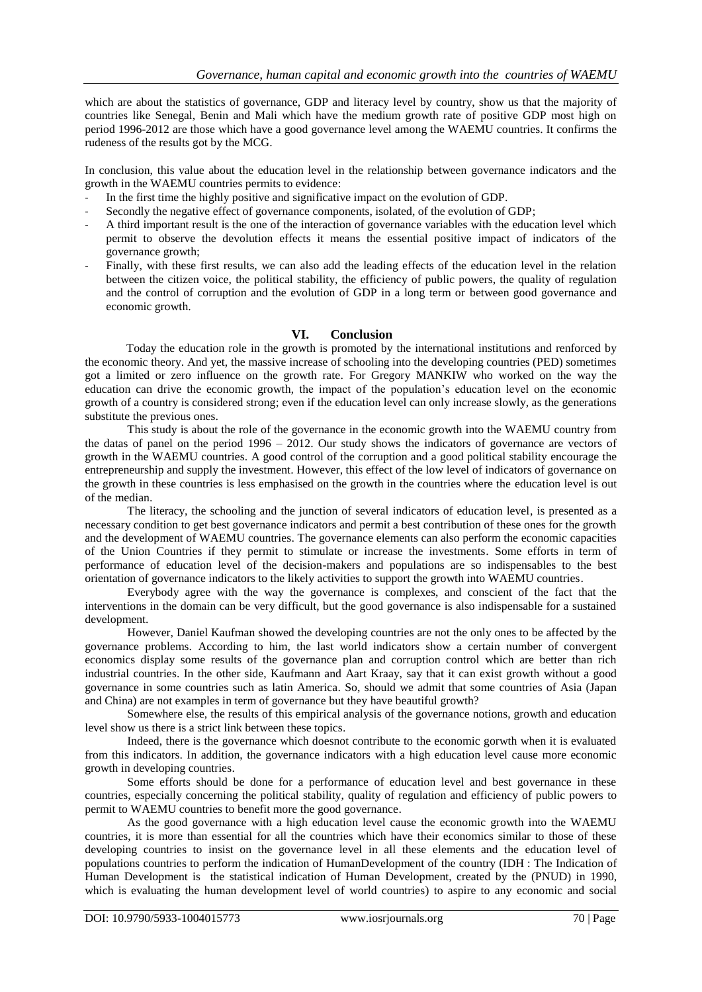which are about the statistics of governance, GDP and literacy level by country, show us that the majority of countries like Senegal, Benin and Mali which have the medium growth rate of positive GDP most high on period 1996-2012 are those which have a good governance level among the WAEMU countries. It confirms the rudeness of the results got by the MCG.

In conclusion, this value about the education level in the relationship between governance indicators and the growth in the WAEMU countries permits to evidence:

- In the first time the highly positive and significative impact on the evolution of GDP.
- Secondly the negative effect of governance components, isolated, of the evolution of GDP;
- A third important result is the one of the interaction of governance variables with the education level which permit to observe the devolution effects it means the essential positive impact of indicators of the governance growth;
- Finally, with these first results, we can also add the leading effects of the education level in the relation between the citizen voice, the political stability, the efficiency of public powers, the quality of regulation and the control of corruption and the evolution of GDP in a long term or between good governance and economic growth.

## **VI. Conclusion**

Today the education role in the growth is promoted by the international institutions and renforced by the economic theory. And yet, the massive increase of schooling into the developing countries (PED) sometimes got a limited or zero influence on the growth rate. For Gregory MANKIW who worked on the way the education can drive the economic growth, the impact of the population"s education level on the economic growth of a country is considered strong; even if the education level can only increase slowly, as the generations substitute the previous ones.

This study is about the role of the governance in the economic growth into the WAEMU country from the datas of panel on the period 1996 – 2012. Our study shows the indicators of governance are vectors of growth in the WAEMU countries. A good control of the corruption and a good political stability encourage the entrepreneurship and supply the investment. However, this effect of the low level of indicators of governance on the growth in these countries is less emphasised on the growth in the countries where the education level is out of the median.

The literacy, the schooling and the junction of several indicators of education level, is presented as a necessary condition to get best governance indicators and permit a best contribution of these ones for the growth and the development of WAEMU countries. The governance elements can also perform the economic capacities of the Union Countries if they permit to stimulate or increase the investments. Some efforts in term of performance of education level of the decision-makers and populations are so indispensables to the best orientation of governance indicators to the likely activities to support the growth into WAEMU countries.

Everybody agree with the way the governance is complexes, and conscient of the fact that the interventions in the domain can be very difficult, but the good governance is also indispensable for a sustained development.

However, Daniel Kaufman showed the developing countries are not the only ones to be affected by the governance problems. According to him, the last world indicators show a certain number of convergent economics display some results of the governance plan and corruption control which are better than rich industrial countries. In the other side, Kaufmann and Aart Kraay, say that it can exist growth without a good governance in some countries such as latin America. So, should we admit that some countries of Asia (Japan and China) are not examples in term of governance but they have beautiful growth?

Somewhere else, the results of this empirical analysis of the governance notions, growth and education level show us there is a strict link between these topics.

Indeed, there is the governance which doesnot contribute to the economic gorwth when it is evaluated from this indicators. In addition, the governance indicators with a high education level cause more economic growth in developing countries.

Some efforts should be done for a performance of education level and best governance in these countries, especially concerning the political stability, quality of regulation and efficiency of public powers to permit to WAEMU countries to benefit more the good governance.

As the good governance with a high education level cause the economic growth into the WAEMU countries, it is more than essential for all the countries which have their economics similar to those of these developing countries to insist on the governance level in all these elements and the education level of populations countries to perform the indication of HumanDevelopment of the country (IDH : The Indication of Human Development is the statistical indication of Human Development, created by the (PNUD) in 1990, which is evaluating the human development level of world countries) to aspire to any economic and social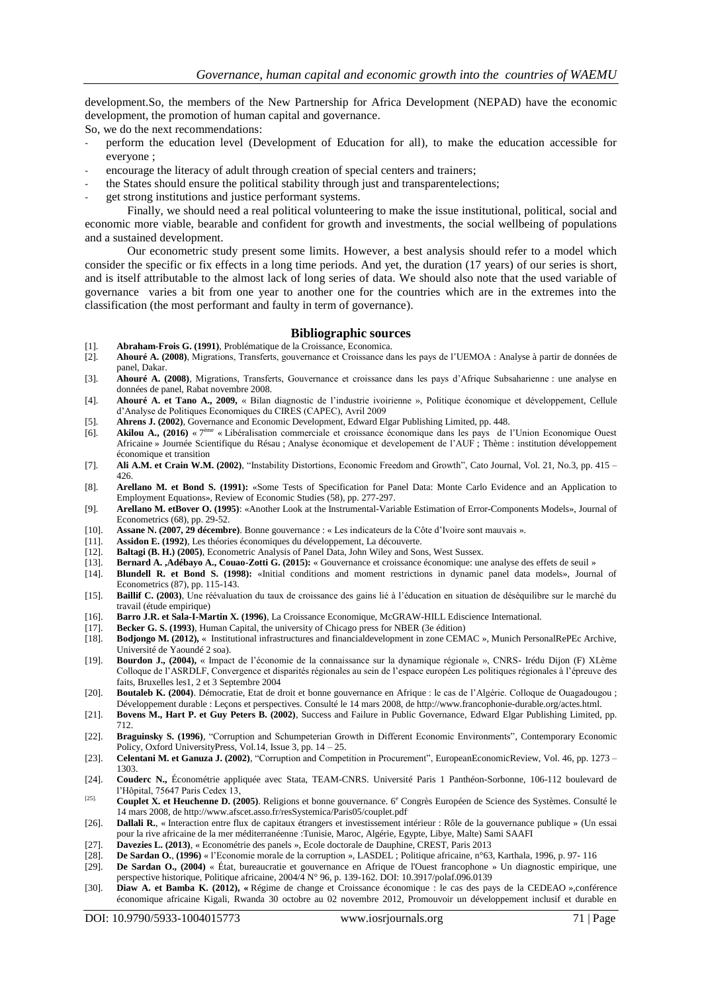development.So, the members of the New Partnership for Africa Development (NEPAD) have the economic development, the promotion of human capital and governance.

So, we do the next recommendations:

- perform the education level (Development of Education for all), to make the education accessible for everyone ;
- encourage the literacy of adult through creation of special centers and trainers;
- the States should ensure the political stability through just and transparentelections;
- get strong institutions and justice performant systems.

Finally, we should need a real political volunteering to make the issue institutional, political, social and economic more viable, bearable and confident for growth and investments, the social wellbeing of populations and a sustained development.

Our econometric study present some limits. However, a best analysis should refer to a model which consider the specific or fix effects in a long time periods. And yet, the duration (17 years) of our series is short, and is itself attributable to the almost lack of long series of data. We should also note that the used variable of governance varies a bit from one year to another one for the countries which are in the extremes into the classification (the most performant and faulty in term of governance).

#### **Bibliographic sources**

- [1]. **Abraham-Frois G. (1991)**, Problématique de la Croissance, Economica. [2]. **Ahouré A. (2008)**, Migrations, Transferts, gouvernance et Croissance dans les pays de l"UEMOA : Analyse à partir de données de
- panel, Dakar.
- [3]. **Ahouré A. (2008)**, Migrations, Transferts, Gouvernance et croissance dans les pays d"Afrique Subsaharienne : une analyse en données de panel, Rabat novembre 2008.
- [4]. **Ahouré A. et Tano A., 2009,** « Bilan diagnostic de l"industrie ivoirienne », Politique économique et développement, Cellule d"Analyse de Politiques Economiques du CIRES (CAPEC), Avril 2009
- [5]. **Ahrens J. (2002)**, Governance and Economic Development, Edward Elgar Publishing Limited, pp. 448.
- [6]. **Akilou A., (2016)** « 7 ème « Libéralisation commerciale et croissance économique dans les pays de l"Union Economique Ouest Africaine » Journée Scientifique du Résau ; Analyse économique et developement de l"AUF ; Thème : institution développement économique et transition
- [7]. **Ali A.M. et Crain W.M. (2002)**, "Instability Distortions, Economic Freedom and Growth", Cato Journal, Vol. 21, No.3, pp. 415 426.
- [8]. **Arellano M. et Bond S. (1991):** «Some Tests of Specification for Panel Data: Monte Carlo Evidence and an Application to Employment Equations», Review of Economic Studies (58), pp. 277-297.
- [9]. **Arellano M. etBover O. (1995)**: «Another Look at the Instrumental-Variable Estimation of Error-Components Models», Journal of Econometrics (68), pp. 29-52.
- [10]. **Assane N. (2007, 29 décembre)**. Bonne gouvernance : « Les indicateurs de la Côte d"Ivoire sont mauvais ».
- [11]. **Assidon E. (1992)**, Les théories économiques du développement, La découverte.
- [12]. **Baltagi (B. H.) (2005)**, Econometric Analysis of Panel Data, John Wiley and Sons, West Sussex.
- [13]. **Bernard A. ,Adébayo A., Couao-Zotti G. (2015):** « Gouvernance et croissance économique: une analyse des effets de seuil »
- [14]. **Blundell R. et Bond S. (1998):** «Initial conditions and moment restrictions in dynamic panel data models», Journal of Econometrics (87), pp. 115-143.
- [15]. **Baillif C. (2003)**, Une réévaluation du taux de croissance des gains lié à l"éducation en situation de déséquilibre sur le marché du travail (étude empirique)
- [16]. **Barro J.R. et Sala-I-Martin X. (1996)**, La Croissance Economique, McGRAW-HILL Ediscience International.
- [17]. **Becker G. S. (1993)**, Human Capital, the university of Chicago press for NBER (3e édition)
- [18]. **Bodjongo M. (2012),** « Institutional infrastructures and financialdevelopment in zone CEMAC », Munich PersonalRePEc Archive, Université de Yaoundé 2 soa).
- [19]. **Bourdon J., (2004),** « Impact de l"économie de la connaissance sur la dynamique régionale », CNRS- Irédu Dijon (F) XLème Colloque de l"ASRDLF, Convergence et disparités régionales au sein de l"espace européen Les politiques régionales à l"épreuve des faits, Bruxelles les1, 2 et 3 Septembre 2004
- [20]. **Boutaleb K. (2004)**. Démocratie, Etat de droit et bonne gouvernance en Afrique : le cas de l"Algérie. Colloque de Ouagadougou ; Développement durable : Leçons et perspectives. Consulté le 14 mars 2008, de http://www.francophonie-durable.org/actes.html.
- [21]. **Bovens M., Hart P. et Guy Peters B. (2002)**, Success and Failure in Public Governance, Edward Elgar Publishing Limited, pp. 712.
- [22]. **Braguinsky S. (1996)**, "Corruption and Schumpeterian Growth in Different Economic Environments", Contemporary Economic Policy, Oxford UniversityPress, Vol.14, Issue 3, pp. 14 – 25.
- [23]. **Celentani M. et Ganuza J. (2002)**, "Corruption and Competition in Procurement", EuropeanEconomicReview, Vol. 46, pp. 1273 1303.
- [24]. **Couderc N.,** Économétrie appliquée avec Stata, TEAM-CNRS. Université Paris 1 Panthéon-Sorbonne, 106-112 boulevard de l"Hôpital, 75647 Paris Cedex 13,
- [25]. **Couplet X. et Heuchenne D. (2005)**. Religions et bonne gouvernance. 6<sup>e</sup> Congrès Européen de Science des Systèmes. Consulté le 14 mars 2008, de http://www.afscet.asso.fr/resSystemica/Paris05/couplet.pdf.
- [26]. **Dallali R.**, « Interaction entre flux de capitaux étrangers et investissement intérieur : Rôle de la gouvernance publique » (Un essai pour la rive africaine de la mer méditerranéenne :Tunisie, Maroc, Algérie, Egypte, Libye, Malte) Sami SAAFI
- [27]. **Davezies L. (2013)**, « Econométrie des panels », Ecole doctorale de Dauphine, CREST, Paris 2013
- [28]. **De Sardan O.**, **(1996)** « l"Economie morale de la corruption », LASDEL ; Politique africaine, n°63, Karthala, 1996, p. 97- 116
- [29]. **De Sardan O., (2004)** « État, bureaucratie et gouvernance en Afrique de l'Ouest francophone » Un diagnostic empirique, une perspective historique, Politique africaine, 2004/4 N° 96, p. 139-162. DOI: 10.3917/polaf.096.0139
- [30]. **Diaw A. et Bamba K. (2012), «** Régime de change et Croissance économique : le cas des pays de la CEDEAO »,conférence économique africaine Kigali, Rwanda 30 octobre au 02 novembre 2012, Promouvoir un développement inclusif et durable en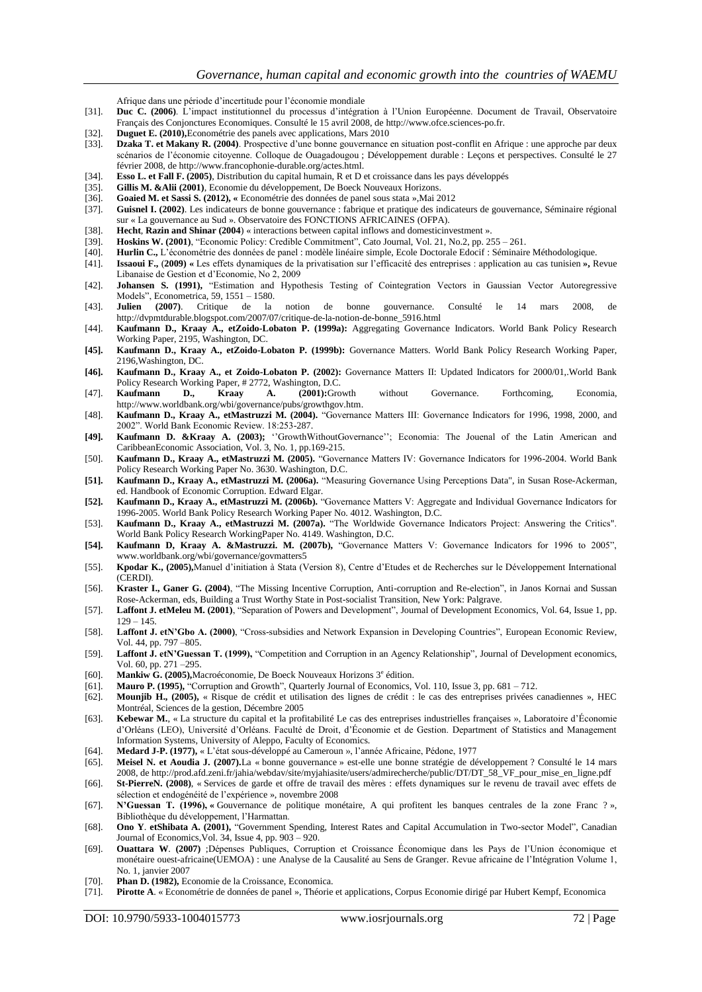Afrique dans une période d"incertitude pour l"économie mondiale

- [31]. **Duc C. (2006)**. L"impact institutionnel du processus d"intégration à l"Union Européenne. Document de Travail, Observatoire Français des Conjonctures Economiques. Consulté le 15 avril 2008, de http://www.ofce.sciences-po.fr.
- [32]. **Duguet E. (2010),**Econométrie des panels avec applications, Mars 2010
- [33]. **Dzaka T. et Makany R. (2004)**. Prospective d"une bonne gouvernance en situation post-conflit en Afrique : une approche par deux scénarios de l"économie citoyenne. Colloque de Ouagadougou ; Développement durable : Leçons et perspectives. Consulté le 27 février 2008, de http://www.francophonie-durable.org/actes.html.
- [34]. **Esso L. et Fall F. (2005)**, Distribution du capital humain, R et D et croissance dans les pays développés
- [35]. **Gillis M. &Alii (2001)**, Economie du développement, De Boeck Nouveaux Horizons.<br>[36]. **Goaied M. et Sassi S. (2012), «** Econométrie des données de panel sous stata », Mai 2
- [36]. **Goaied M. et Sassi S. (2012), «** Econométrie des données de panel sous stata »,Mai 2012
- [37]. **Guisnel I. (2002)**. Les indicateurs de bonne gouvernance : fabrique et pratique des indicateurs de gouvernance, Séminaire régional sur « La gouvernance au Sud ». Observatoire des FONCTIONS AFRICAINES (OFPA).
- [38]. **Hecht**, **Razin and Shinar (2004**) « interactions between capital inflows and domesticinvestment ».
- [39]. **Hoskins W. (2001)**, "Economic Policy: Credible Commitment", Cato Journal, Vol. 21, No.2, pp. 255 261.
- [40]. **Hurlin C.,** L"économétrie des données de panel : modèle linéaire simple, Ecole Doctorale Edocif : Séminaire Méthodologique.
- [41]. **Issaoui F.,** (**2009) «** Les effets dynamiques de la privatisation sur l"efficacité des entreprises : application au cas tunisien **»,** Revue Libanaise de Gestion et d"Economie, No 2, 2009
- [42]. **Johansen S. (1991),** "Estimation and Hypothesis Testing of Cointegration Vectors in Gaussian Vector Autoregressive Models", [Econometrica,](https://fr.wikipedia.org/wiki/Econometrica) 59, 1551 – 1580.
- [43]. **Julien (2007**). Critique de la notion de bonne gouvernance. Consulté le 14 mars 2008, http://dvpmtdurable.blogspot.com/2007/07/critique-de-la-notion-de-bonne\_5916.html
- [44]. **Kaufmann D., Kraay A., etZoido-Lobaton P. (1999a):** Aggregating Governance Indicators. World Bank Policy Research Working Paper, 2195, Washington, DC.
- **[45]. Kaufmann D., Kraay A., etZoido-Lobaton P. (1999b):** Governance Matters. World Bank Policy Research Working Paper, 2196,Washington, DC.
- **[46]. Kaufmann D., Kraay A., et Zoido-Lobaton P. (2002):** Governance Matters II: Updated Indicators for 2000/01,.World Bank Policy Research Working Paper, # 2772, Washington, D.C.<br> **Kaufmann** D., Kraay A. (2001):Gro
- [47]. **Kaufmann D., Kraay A. (2001):**Growth without Governance. Forthcoming, Economia, [http://www.worldbank.org/wbi/governance/pubs/growthgov.htm.](http://www.worldbank.org/wbi/governance/pubs/growthgov.htm)
- [48]. **Kaufmann D., Kraay A., etMastruzzi M. (2004).** "Governance Matters III: Governance Indicators for 1996, 1998, 2000, and 2002". World Bank Economic Review. 18:253-287.
- **[49]. Kaufmann D. &Kraay A. (2003);** ""GrowthWithoutGovernance""; Economia: The Jouenal of the Latin American and CaribbeanEconomic Association, Vol. 3, No. 1, pp.169-215.
- [50]. **Kaufmann D., Kraay A., etMastruzzi M. (2005).** "Governance Matters IV: Governance Indicators for 1996-2004. World Bank Policy Research Working Paper No. 3630. Washington, D.C.
- **[51]. Kaufmann D., Kraay A., etMastruzzi M. (2006a).** "Measuring Governance Using Perceptions Data", in Susan Rose-Ackerman, ed. Handbook of Economic Corruption. Edward Elgar.
- **[52]. Kaufmann D., Kraay A., etMastruzzi M. (2006b).** "Governance Matters V: Aggregate and Individual Governance Indicators for 1996-2005. World Bank Policy Research Working Paper No. 4012. Washington, D.C.
- [53]. **Kaufmann D., Kraay A., etMastruzzi M. (2007a).** "The Worldwide Governance Indicators Project: Answering the Critics". World Bank Policy Research WorkingPaper No. 4149. Washington, D.C.
- **[54]. Kaufmann D, Kraay A. &Mastruzzi. M. (2007b),** "Governance Matters V: Governance Indicators for 1996 to 2005", www.worldbank.org/wbi/governance/govmatters5
- [55]. **Kpodar K., (2005),**Manuel d"initiation à Stata (Version 8), Centre d"Etudes et de Recherches sur le Développement International (CERDI).
- [56]. **Kraster I., Ganer G. (2004)**, "The Missing Incentive Corruption, Anti-corruption and Re-election", in Janos Kornai and Sussan Rose-Ackerman, eds, Building a Trust Worthy State in Post-socialist Transition, New York: Palgrave.
- [57]. **Laffont J. etMeleu M. (2001)**, "Separation of Powers and Development", Journal of Development Economics, Vol. 64, Issue 1, pp.  $129 - 145$ .
- [58]. **Laffont J. etN'Gbo A. (2000)**, "Cross-subsidies and Network Expansion in Developing Countries", European Economic Review, Vol. 44, pp. 797 –805.
- [59]. **Laffont J. etN'Guessan T. (1999),** "Competition and Corruption in an Agency Relationship", Journal of Development economics, Vol. 60, pp. 271 –295.
- [60]. Mankiw G. (2005), Macroéconomie, De Boeck Nouveaux Horizons 3<sup>e</sup> édition.
- [61]. **Mauro P. (1995),** "Corruption and Growth", Quarterly Journal of Economics, Vol. 110, Issue 3, pp. 681 712.
- [62]. **Mounjib H., (2005),** « Risque de crédit et utilisation des lignes de crédit : le cas des entreprises privées canadiennes », HEC Montréal, Sciences de la gestion, Décembre 2005
- [63]. **Kebewar M.**, « La structure du capital et la profitabilité Le cas des entreprises industrielles françaises », Laboratoire d"Économie d"Orléans (LEO), Université d"Orléans. Faculté de Droit, d"Économie et de Gestion. Department of Statistics and Management Information Systems, University of Aleppo, Faculty of Economics.
- [64]. **Medard J-P. (1977),** « L"état sous-développé au Cameroun », l"année Africaine, Pédone, 1977
- [65]. **Meisel N. et Aoudia J. (2007).**La « bonne gouvernance » est-elle une bonne stratégie de développement ? Consulté le 14 mars 2008, d[e http://prod.afd.zeni.fr/jahia/webdav/site/myjahiasite/users/admirecherche/public/DT/DT\\_58\\_VF\\_pour\\_mise\\_en\\_ligne.pdf](http://prod.afd.zeni.fr/jahia/webdav/site/myjahiasite/users/admirecherche/public/DT/DT_58_VF_pour_mise_en_ligne.pdf)
- [66]. **St-PierreN. (2008)**, « Services de garde et offre de travail des mères : effets dynamiques sur le revenu de travail avec effets de sélection et endogénéité de l"expérience », novembre 2008
- [67]. **N'Guessan T. (1996), «** Gouvernance de politique monétaire, A qui profitent les banques centrales de la zone Franc ? », Bibliothèque du développement, l"Harmattan.
- [68]. **Ono Y**. **etShibata A. (2001),** "Government Spending, Interest Rates and Capital Accumulation in Two-sector Model", Canadian Journal of Economics,Vol. 34, Issue 4, pp. 903 – 920.
- [69]. **Ouattara W**. **(2007)** ;Dépenses Publiques, Corruption et Croissance Économique dans les Pays de l"Union économique et monétaire ouest-africaine(UEMOA) : une Analyse de la Causalité au Sens de Granger. Revue africaine de l"Intégration Volume 1, No. 1, janvier 2007
- [70]. **Phan D. (1982),** Economie de la Croissance, Economica.
- [71]. **Pirotte A**. « Econométrie de données de panel », Théorie et applications, Corpus Economie dirigé par Hubert Kempf, Economica